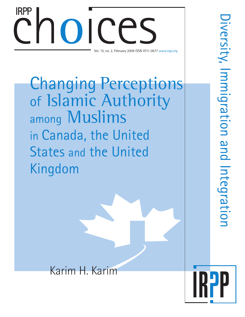# Choice Computer Computer Computer Computer Computer Computer Computer Computer Computer Computer Computer Computer Computer Computer Computer Computer Computer Computer Computer Computer Computer Computer Computer Computer Vol. 15, no. 2, February 2009 ISSN 0711-0677 www.irpp.org IRPP

Changing Perceptions of Islamic Authority among Muslims in Canada, the United States and the United Kingdom

Karim H. Karim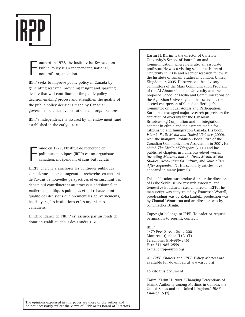

F ounded in 1972, the Institute for Research on Public Policy is an independent, national, nonprofit organization.

IRPP seeks to improve public policy in Canada by generating research, providing insight and sparking debate that will contribute to the public policy decision-making process and strengthen the quality of the public policy decisions made by Canadian governments, citizens, institutions and organizations.

IRPP's independence is assured by an endowment fund established in the early 1970s.

F ondé en 1972, l'Institut de recherche en politiques publiques (IRPP) est un organisme canadien, indépendant et sans but lucratif.

L'IRPP cherche à améliorer les politiques publiques canadiennes en encourageant la recherche, en mettant de l'avant de nouvelles perspectives et en suscitant des débats qui contribueront au processus décisionnel en matière de politiques publiques et qui rehausseront la qualité des décisions que prennent les gouvernements, les citoyens, les institutions et les organismes canadiens.

L'indépendance de l'IRPP est assurée par un fonds de dotation établi au début des années 1970.

**Karim H. Karim** is the director of Carleton University's School of Journalism and Communication, where he is also an associate professor. He was a visiting scholar at Harvard University in 2004 and a senior research fellow at the Institute of Ismaili Studies in London, United Kingdom, in 2005. He serves on the advisory committees of the Mass Communication Program of the Al Ahram Canadian University and the proposed School of Media and Communications of the Aga Khan University, and has served as the elected chairperson of Canadian Heritage's Committee on Equal Access and Participation. Karim has managed major research projects on the depiction of diversity for the Canadian Broadcasting Corporation and on integration content in ethnic and mainstream media for Citizenship and Immigration Canada. His book, *Islamic Peril: Media and Global Violence* (2000), won the inaugural Robinson Book Prize of the Canadian Communication Association in 2001. He edited *The Media of Diaspora* (2003) and has published chapters in numerous edited works, including *Muslims and the News Media*, *Media Studies*, *Accounting for Culture,* and *Journalism After September 11.* His scholarly articles have appeared in many journals.

This publication was produced under the direction of Leslie Seidle, senior research associate, and Geneviève Bouchard, research director, IRPP. The manuscript was copy-edited by Francesca Worrall, proofreading was by Zofia Laubitz, production was by Chantal Létourneau and art direction was by Schumacher Design.

Copyright belongs to IRPP. To order or request permission to reprint, contact:

#### IRPP

1470 Peel Street, Suite 200 Montreal, Quebec H3A 1T1 Telephone: 514-985-2461 Fax: 514-985-2559 E-mail: irpp@irpp.org

All *IRPP Choices* and *IRPP Policy Matters* are available for download at www.irpp.org

To cite this document:

Karim, Karim H. 2009. "Changing Perceptions of Islamic Authority among Muslims in Canada, the United States and the United Kingdom." *IRPP Choices* 15 (2).

The opinions expressed in this paper are those of the author and do not necessarily reflect the views of IRPP or its Board of Directors.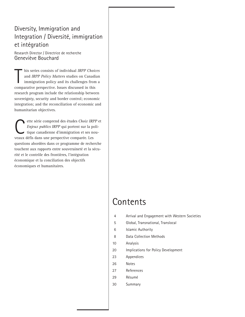## Diversity, Immigration and Integration / Diversité, immigration et intégration

Research Director / Directrice de recherche Geneviève Bouchard

his series consists of individual IRPP Choid<br>and IRPP Policy Matters studies on Canadi<br>immigration policy and its challenges fron<br>comparative perspective. Issues discussed in this his series consists of individual *IRPP Choices* and *IRPP Policy Matters* studies on Canadian immigration policy and its challenges from a research program include the relationship between sovereignty, security and border control; economic integration; and the reconciliation of economic and humanitarian objectives.

ette série comprend des études *Choix IRPP* et<br> *Enjeux publics IRPP* qui portent sur la poli-<br>
tique canadienne d'immigration et ses nou-<br>
veaux défis dans une perspective comparée Les *Enjeux publics IRPP* qui portent sur la politique canadienne d'immigration et ses nouveaux défis dans une perspective comparée. Les questions abordées dans ce programme de recherche touchent aux rapports entre souveraineté et la sécurité et le contrôle des frontières, l'intégration économique et la conciliation des objectifs économiques et humanitaires.

## **Contents**

- 4 Arrival and Engagement with Western Societies
- 5 Global, Transnational, Translocal
- 6 Islamic Authority
- 8 Data Collection Methods
- 10 Analysis
- 20 Implications for Policy Development
- 23 Appendices
- 26 Notes
- 27 References
- 29 Résumé
- 30 Summary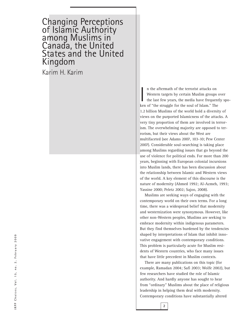## Changing Perceptions of Islamic Authority among Muslims in Canada, the United States and the United Kingdom

Karim H. Karim

In the aftermath of the terrorist attacks on<br>Western targets by certain Muslim groups<br>the last few years, the media have frequen<br>ken of "the struggle for the soul of Islam." The n the aftermath of the terrorist attacks on Western targets by certain Muslim groups over the last few years, the media have frequently spo-1.2 billion Muslims of the world hold a diversity of views on the purported Islamicness of the attacks. A very tiny proportion of them are involved in terrorism. The overwhelming majority are opposed to terrorism, but their views about the West are multifaceted (see Adams 2007, 103-10; Pew Center 2007). Considerable soul-searching is taking place among Muslims regarding issues that go beyond the use of violence for political ends. For more than 200 years, beginning with European colonial incursions into Muslim lands, there has been discussion about the relationship between Islamic and Western views of the world. A key element of this discourse is the nature of modernity (Ahmed 1992; Al-Azmeh, 1993; Yassine 2000; Peletz 2002; Sajoo, 2008).

Muslims are seeking ways of engaging with the contemporary world on their own terms. For a long time, there was a widespread belief that modernity and westernization were synonymous. However, like other non-Western peoples, Muslims are seeking to embrace modernity within indigenous parameters. But they find themselves burdened by the tendencies shaped by interpretations of Islam that inhibit innovative engagement with contemporary conditions. This problem is particularly acute for Muslim residents of Western countries, who face many issues that have little precedent in Muslim contexts.

There are many publications on this topic (for example, Ramadan 2004; Safi 2003; Wolfe 2002), but few researchers have studied the role of Islamic authority. And hardly anyone has sought to hear from "ordinary" Muslims about the place of religious leadership in helping them deal with modernity. Contemporary conditions have substantially altered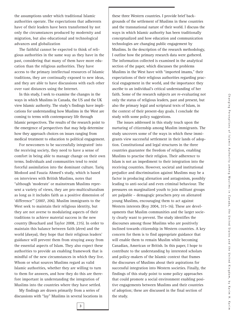the assumptions under which traditional Islamic authorities operate. The expectations that adherents have of their leaders have been transformed by not only the circumstances produced by modernity and migration, but also educational and technological advances and globalization

The faithful cannot be expected to think of religious authorities in the same way as they have in the past, considering that many of them have more education than the religious authorities. They have access to the primary intellectual resources of Islamic traditions, they are continually exposed to new ideas, and they are able to have discussions with each other over vast distances using the Internet.

In this study, I seek to examine the changes in the ways in which Muslims in Canada, the US and the UK view Islamic authority. The study's findings have implications for understanding how Muslims in the West are coming to terms with contemporary life through Islamic perspectives. The results of the research point to the emergence of perspectives that may help determine how they approach choices on issues ranging from medical treatment to education to political engagement.

For newcomers to be successfully integrated $1$  into the receiving society, they need to have a sense of comfort in being able to manage change on their own terms. Individuals and communities tend to resist forceful assimilation into the dominant culture. Tariq Modood and Fauzia Ahmed's study, which is based on interviews with British Muslims, notes that "although 'moderate' or mainstream Muslims represent a variety of views, they are pro-multiculturalism as long as it includes faith as a positive dimension of 'difference'" (2007, 206). Muslim immigrants to the West seek to maintain their religious identity, but they are not averse to modulating aspects of their traditions to achieve material success in the new country (Bouchard and Taylor 2008, 235). In order to maintain this balance between faith (*deen*) and the world (*dunya*), they hope that their religious leaders' guidance will prevent them from straying away from the essential aspects of Islam. They also expect these authorities to provide an enabling framework that is mindful of the new circumstances in which they live. Whom or what sources Muslims regard as valid Islamic authorities, whether they are willing to turn to them for answers, and how they do this are therefore important in understanding the integration of Muslims into the countries where they have settled.

My findings are drawn primarily from a series of discussions with "lay" Muslims in several locations in these three Western countries. I provide brief backgrounds of the settlement of Muslims in these countries and the transnational nature of their world. I discuss the ways in which Islamic authority has been traditionally conceptualized and how education and communication technologies are changing public engagement by Muslims. In the description of the research methodology, I outline how the primary research data were gathered. The information collected is examined in the analytical section of the paper, which discusses the problems Muslims in the West have with "imported imams," their expectations of their religious authorities regarding practical engagement in the world, and the importance they ascribe to an individual's critical understanding of her faith. Some of the research subjects are re-evaluating not only the status of religious leaders, past and present, but also the primary legal and scriptural texts of Islam, in the context of their present-day goals. I conclude the study with some policy suggestions.

The issues addressed in this study touch upon the nurturing of citizenship among Muslim immigrants. The study uncovers some of the ways in which these immigrants view successful settlement in their lands of adoption. Constitutional and legal structures in the three countries guarantee the freedom of religion, enabling Muslims to practise their religion. Their adherence to Islam is not an impediment to their integration into the receiving countries. However, societal and institutional prejudice and discrimination against Muslims may be a factor in producing alienation and antagonism, possibly leading to anti-social and even criminal behaviour. The pressures on marginalized youth to join militant groups are palpable – demagogic preachers prey on alienated young Muslims, encouraging them to act against Western interests (Roy 2004, 315-16). These are developments that Muslim communities and the larger society clearly want to prevent. The study identifies the discourses among those Muslims who are positively inclined towards citizenship in Western countries. A key concern for them is to find appropriate guidance that will enable them to remain Muslim while becoming Canadian, American or British. In this paper, I hope to contribute to the understanding by interested scholars and policy-makers of the Islamic context that frames the discourses of Muslims about their aspirations for successful integration into Western societies. Finally, the findings of this study point to some policy approaches that could promote a social environment enabling positive engagements between Muslims and their countries of adoption; these are discussed in the final section of the study.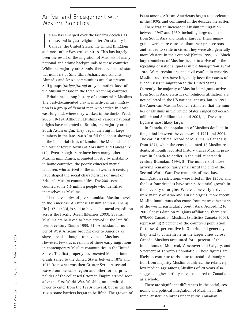## Arrival and Engagement with Western Societies

slam has emerged over the last few decades as<br>the second largest religion after Christianity in<br>Canada, the United States, the United Kingdom<br>and most other Western countries. This has largely slam has emerged over the last few decades as the second largest religion after Christianity in Canada, the United States, the United Kingdom been the result of the migration of Muslims of many national and ethnic backgrounds to these countries. While the majority are Sunnis, there are also substantial numbers of Shia Ithna Asharis and Ismailis. Ahmadis and Druze communities are also present. Sufi groups (*tariqas/turuq*) are yet another facet of the Muslim mosaic in the three receiving countries.

Britain has a long history of contact with Muslims. The best-documented pre-twentieth-century migration is a group of Yemeni men who settled in northeast England, where they worked in the docks (Peach 2005, 18-19). Although Muslims of various national origins have migrated to Britain, the majority are of South Asian origin. They began arriving in large numbers in the late 1940s "to fill the labour shortage in the industrial cities of London, the Midlands and the former textile towns of Yorkshire and Lancashire" (18). Even though there have been many other Muslim immigrants, prompted mostly by instability in home countries, the poorly educated menial labourers who arrived in the mid-twentieth century have shaped the social characteristics of most of Britain's Muslim communities. The 2001 census counted some 1.6 million people who identified themselves as Muslims.

There are stories of pre-Columbian Muslim travel to the Americas. A Chinese Muslim admiral, Zheng He (1371-1433), is said to have led a naval expedition across the Pacific Ocean (Menzies 2003). Spanish Muslims are believed to have arrived in the late fifteenth century (Smith 1999, 51). A substantial number of West Africans brought over to America as slaves are also thought to have been Muslims. However, few traces remain of these early migrations in contemporary Muslim communities in the United States. The first properly documented Muslim immigrants sailed to the United States between 1875 and 1912 from what was then Greater Syria. A second wave from the same region and other former principalities of the collapsed Ottoman Empire arrived soon after the First World War. Washington permitted fewer to enter from the 1920s onward, but in the late 1940s some barriers began to be lifted. The growth of

Islam among African-Americans began to accelerate in the 1930s and continued in the decades thereafter.

There was an increase in Muslim immigration between 1947 and 1960, including large numbers from South Asia and Central Europe. These immigrants were more educated than their predecessors and tended to settle in cities. They were also generally more Western in their outlook (Smith 1999, 52). Much larger numbers of Muslims began to arrive after the repealing of national quotas in the *Immigration Act* of 1965. Wars, revolutions and civil conflict in majority Muslim countries have frequently been the causes of sudden rises in migration to the United States. Currently the majority of Muslim immigrants arrive from South Asia. Statistics on religious affiliation are not collected in the US national census, but in 1992 the American Muslim Council estimated that the number of Muslims in the United States ranged between 5 million and 8 million (Leonard 2003, 4). The current figure is most likely larger.

In Canada, the population of Muslims doubled in the period between the censuses of 1991 and 2001. The earliest official record of Muslims in Canada is from 1871, when the census counted 13 Muslim residents, although recorded history traces Muslim presence in Canada to earlier in the mid–nineteenth century (Hamdani 1994, 8). The numbers of those arriving remained fairly small until the end of the Second World War. The remnants of race-based immigration restrictions were lifted in the 1960s, and the last four decades have seen substantial growth in the diversity of origins. Whereas the early arrivals were mainly of Arab and Turkic origins, more recent Muslim immigrants also come from many other parts of the world, particularly South Asia. According to 2001 Census data on religious affiliation, there are 579,600 Canadian Muslims (Statistics Canada 2003), representing 2 percent of the country's population. Of these, 61 percent live in Ontario, and generally they tend to concentrate in the larger cities across Canada. Muslims accounted for 3 percent of the inhabitants of Montreal, Vancouver and Calgary, and 5 percent of Toronto's population. These figures are likely to continue to rise due to sustained immigration from majority Muslim countries; the relatively low median age among Muslims of 28 years also suggests higher fertility rates compared to Canadians as a whole.

There are significant differences in the social, economic and political integration of Muslims in the three Western countries under study. Canadian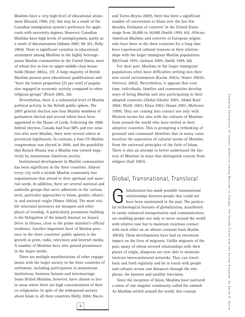Muslims have a very high level of educational attainment (Husaini 1990, 25); this may be a result of the Canadian immigration system's preference for applicants with university degrees. However, Canadian Muslims have high levels of unemployment, partly as a result of discrimination (Adams 2007, 98-101; Helly 2004). There is significant variation in educational attainment among Muslims in the highly heterogeneous Muslim communities in the United States, most of whom live in low-to-upper-middle-class households (Nimer 2002a, 37). A large majority of British Muslims possess poor educational qualifications and "have the lowest proportion [25 per cent] of population engaged in economic activity compared to other religious groups" (Peach 2005, 26).

Nevertheless, there is a substantial level of Muslim political activity in the British public sphere. The 2005 general election saw four Muslim members of parliament elected and several others have been appointed to the House of Lords. Following the 2006 federal election, Canada had four MPs and two senators who were Muslim; there were several others in provincial legislatures. In contrast, a lone US Muslim congressman was elected in 2006, and the possibility that Barack Obama was a Muslim was viewed negatively by mainstream American society.

Institutional development in Muslim communities has been significant in the three countries. Almost every city with a sizable Muslim community has organizations that attend to their spiritual and material needs. In addition, there are several national and umbrella groups that serve adherents in the various sects, particular approaches to Islam, gender, ethnicity and national origin (Nimer 2002a). The most visible structural presences are mosques and other places of worship. A particularly prominent building is the Delegation of the Ismaili Imamat on Sussex Drive in Ottawa, close to the prime minister's official residence. Another important facet of Muslim presence in the three countries' public spheres is the growth in print, radio, television and Internet media. A number of Muslims have also gained prominence in the major media.

There are multiple manifestations of other engagements with the larger society in the three countries of settlement, including participation in mainstream institutions, business liaisons and intermarriage. Some British Muslims, however, have chosen to live in areas where there are high concentrations of their co-religionists. In spite of the widespread anxiety about Islam in all three countries (Helly 2004; Nacos

and Torres-Reyna 2007), there has been a significant number of conversions to Islam over the last few decades. Estimates of converts<sup>2</sup> in the United States range from 20,000 to 50,000 (Smith 1999, 65). African-American Muslims and converts of European origins who have been in the three countries for a long time have experienced cultural tensions in their relationships with the larger immigrant Muslim populations (McCloud 1995; Jackson 2005; Smith 1999, 66).

For their part, Muslims in the larger immigrant populations often have difficulties settling into their new social environments (Karim 2002a; Nimer 2002b; Vertovec 2002). Nevertheless, it appears that over time, individuals, families and communities develop ways of being Muslim and also participating in their adopted countries (Abdul-Ghafur 2005; Abdul Rauf 2004; Wolfe 2002; Khan 2002; Hasan 2001; McGown 1999). They are coming into contact not only with Western norms but also with the cultures of Muslims from around the world who have settled in their adoptive countries. This is prompting a rethinking of personal and communal identities that in many cases involves the separation of cultural norms of Muslims from the universal principles of the faith of Islam. There is also an attempt to better understand the history of Muslims in ways that distinguish custom from religion (Safi 2003).

## Global, Transnational, Translocal

**Globalization has made possible transnational**<br>relationships between people that could not<br>have been maintained in the past. The partic<br>lar technological features of globalization, manifeste relationships between people that could not have been maintained in the past. The particular technological features of globalization, manifested in vastly enhanced transportation and communication, are enabling people not only to move around the world with relative ease but to maintain vicarious contact with each other on an almost constant basis (Karim 2003b). These developments have had an enormous impact on the lives of migrants. Unlike migrants of the past, many of whom severed relationships with their places of origin, diasporas are now able to maintain intricate intercontinental networks. They can travel back and forth regularly and be in touch with people and cultures across vast distances through the telephone, the Internet and satellite television.

Since the inception of Islam, Muslims have nurtured a sense of one singular community called the *ummah*. As Muslims settled around the world, this concept

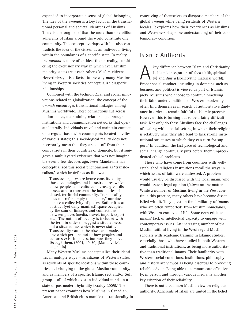expanded to incorporate a sense of global belonging. The idea of the *ummah* is a key factor in the transnational personal and societal identities of Muslims. There is a strong belief that the more than one billion adherents of Islam around the world constitute one community. This concept overlaps with but also contradicts the idea of the citizen as an individual living within the boundaries of a specific state. In reality, the *ummah* is more of an ideal than a reality, considering the exclusionary way in which even Muslim majority states treat each other's Muslim citizens. Nevertheless, it is a factor in the way many Muslims living in Western societies conceptualize diasporic relationships.

Combined with the technological and social innovations related to globalization, the concept of the *ummah* encourages transnational linkages among Muslims worldwide. These connections cut across nation-states, maintaining relationships through institutions and communication networks that operate laterally. Individuals travel and maintain contact on a regular basis with counterparts located in cities of various states; this sociological reality does not necessarily mean that they are cut off from their compatriots in their countries of domicile, but it suggests a multilayered existence that was not imaginable even a few decades ago. Peter Mandaville has conceptualized this social phenomenon as "translocalism," which he defines as follows:

Translocal spaces are hence constituted by those technologies and infrastructures which allow peoples and cultures to cross great distances and to transcend the boundaries of closed, territorial community. Translocality does not refer simply to a "place," nor does it denote a collectivity of places. Rather it is an abstract (yet daily manifest) space occupied by the sum of linkages and connections between places (media, travel, import/export etc.). The notion of locality is included with the term in order to suggest a situatedness, but a situatedness which is never static. Translocality can be theorised as a mode, one which pertains not to how peoples and cultures exist in places, but how they move *through* them. (2001, 49-50) [Mandaville's emphasis]

Many Western Muslims conceptualize their identities in multiple ways — as citizens of Western states, as residents of specific locations within these countries, as belonging to the global Muslim community, and as members of a specific Islamic sect and/or Sufi group — all of which exist in individual minds in a state of postmodern hybridity (Kraidy 2005).<sup>3</sup> The present paper examines how Muslims in Canadian, American and British cities manifest a translocality in

conceiving of themselves as diasporic members of the global *ummah* while being residents of Western locales. It explores how their experiences as Muslims and Westerners shape the understanding of their contemporary condition.

### Islamic Authority

key difference between Islam and Christianity<br>is Islam's integration of *deen* (faith/spirituali-<br>ty) and *dunya* (society/the material world). is Islam's integration of *deen* (faith/spirituality) and *dunya* (society/the material world). Proper social conduct (including in domains such as business and politics) is viewed as part of Islamic piety. Muslims who choose to continue practising their faith under conditions of Western modernity often find themselves in search of authoritative guidance in order to remain faithful to Islamic precepts. However, this is turning out to be a fairly difficult task. Not only do these Muslims face the challenges of dealing with a social setting in which their religion is relatively new, they also tend to lack strong institutional structures to which they can turn for support.4 In addition, the fast pace of technological and social change continually puts before them unprecedented ethical problems.

Those who have come from countries with wellestablished religious institutions recall the ways in which issues of faith were addressed. A problem would usually be discussed with the local imam, who would issue a legal opinion (*fatwa*) on the matter. While a number of Muslims living in the West continue this practice, many others have become dissatisfied with it. They question the familiarity of imams, who are often "imported" from Muslim homelands, with Western contexts of life. Some even criticize imams' lack of intellectual capacity to engage with contemporary issues. An increasing number of the Muslim faithful living in the West regard Muslim scholars with academic training in Islamic studies, especially those who have studied in both Western and traditional institutions, as being more authoritative than traditional imams. Their familiarity with Western social conditions, institutions, philosophy and history are viewed as being essential to providing reliable advice. Being able to communicate effectively, in person and through various media, is another key criterion of their reliability.

There is not a common Muslim view on religious authority. Adherents of Islam are united in the belief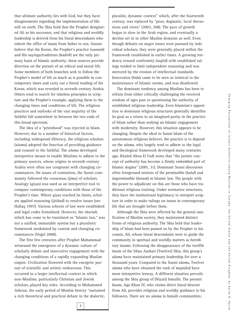that ultimate authority lies with God, but they have disagreements regarding the implementation of His will on earth. The Shia hold that the Prophet designated Ali as his successor, and that religious and worldly leadership is derived from his lineal descendants who inherit the office of imam from father to son. Sunnis believe that the Koran, the Prophet's practice (*sunnah*) and His sayings/traditions (*hadith*) are the only primary basis of Islamic authority; these sources provide direction on the pursuit of an ethical and moral life. Some members of both branches seek to follow the Prophet's model of life as much as is possible in contemporary times and carry out a literal reading of the Koran, which was revealed in seventh-century Arabia. Others tend to search for timeless principles in scripture and the Prophet's example, applying them to the changing times and conditions of life. The religious practices and outlooks of the vast majority of the faithful fall somewhere in between the two ends of this broad spectrum.

The idea of a "priesthood" was rejected in Islam. However, due to a number of historical factors, including widespread illiteracy, the religious scholars (*ulama*) adopted the function of providing guidance and counsel to the faithful. The *ulama* developed interpretive means to enable Muslims to adhere to the primary sources, whose origins in seventh-century Arabia were often not congruent with changing circumstances. On issues of contention, the Sunni community followed the consensus (*ijma)* of scholars. Analogy (*qiyas*) was used as an interpretive tool to compare contemporary conditions with those of the Prophet's time. Where *qiyas* reached its limits, scholars applied reasoning (*ijtihad*) to resolve issues (see Hallaq 1997). Various schools of law were established and legal codes formalized. However, the *shariah,* which has come to be translated as "Islamic law," was not a unified, immutable system but a pluralistic framework modulated by custom and changing circumstances (Vogel 2008).

The first few centuries after Prophet Muhammad witnessed the emergence of a dynamic culture of scholarly debate and innovative engagement with the changing conditions of a rapidly expanding Muslim empire. Civilization flowered with the energetic pursuit of scientific and artistic endeavours. This occurred in a larger intellectual context in which non-Muslims, particularly Christian and Jewish scholars, played key roles. According to Mohammed Arkoun, the early period of Muslim history "sustained a rich theoretical and practical debate in the dialectic, pluralist, dynamic context" which, after the fourteenth century, was replaced by "poor, dogmatic, local discussions and views" (2002, 208). The pace of growth began to slow in the Arab region, and eventually a decline set in in other Muslim domains as well. Even though debates on major issues were pursued by individual scholars, they were generally placed within the framework established in earlier times. A growing tendency toward conformity (*taqlid*) with established rulings tended to limit independent reasoning and was mirrored by the erosion of intellectual standards. Innovation (*bida*) came to be seen as inimical to the maintenance of Islamic norms, and was disallowed.

The dominant tendency among Muslims has been to refrain from either critically challenging the received wisdom of ages past or questioning the authority of established religious leadership. Even Islamism's opposition to dominant religious structures generally identifies its goal as a return to an imagined purity in the practice of Islam rather than seeking an Islamic engagement with modernity. However, this situation appears to be changing. Despite the ideal in Sunni Islam of the autonomous religious believer, the practice is to depend on the *ulama*, who largely tend to adhere to the legal and theological framework developed many centuries ago. Khaled Abou El Fadl notes that "the juristic concept of authority has become a firmly embedded part of Islamic dogma" (2001, 31). Dominant Sunni discourses often foreground notions of the permissible (*halal*) and impermissible (*haram*) in Islamic law. The people with the power to adjudicate on this are those who have traditional religious training. Under normative structures, they have the institutional legitimacy to interpret scripture in order to make rulings on issues in contemporary life that are brought before them.

Although the Shia were affected by the general ossification of Muslim society, they maintained distinct forms of religious authority. The Shia held that leadership of Islam had been passed on by the Prophet to his cousin, Ali, whose lineal descendants were to guide the community in spiritual and worldly matters as hereditary imams. Following the disappearance of the twelfth imam of the Ithna Aashari (Twelver) Shia, this group's *ulama* have maintained primary leadership for over a thousand years. Compared to the Sunni *ulama*, Twelver *ulama* who have obtained the rank of *mujtahid* have more interpretive leeway. A different situation prevails among the Shia group of (Nizari) Ismailis. The present Imam, Aga Khan IV, who claims direct lineal descent from Ali, provides religious and worldly guidance to his followers. There are no *ulama* in Ismaili communities;

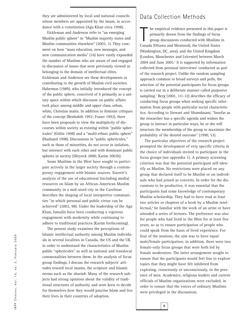they are administered by local and national councils whose members are appointed by the imam, in accordance with a constitution (Aga Khan circa 1998).

Eickleman and Anderson refer to "an emerging Muslim public sphere" in "Muslim majority states and Muslim communities elsewhere" (2003, 1). They comment on how "mass education, new messages, and new communication media" (16) have vastly expanded the number of Muslims who are aware of and engaged in discussion of issues that were previously viewed as belonging to the domain of intellectual elites. Eickleman and Anderson see these developments as contributing to the growth of Muslim civil societies. Habermas (1989), who initially introduced the concept of the public sphere, conceived of it primarily as a unitary space within which discourse on public affairs took place among middle and upper class, urban, white, Christian males. In addition to feminist critiques of the concept (Benhabib 1992; Fraser 1992), there have been proposals to view the multiplicity of discourses within society as existing within "public sphericules" (Gitlin 1998) and a "multi-ethnic public sphere" (Husband 1998). Discussions in "public sphericules," such as those of minorities, do not occur in isolation, but intersect with each other and with dominant public spheres in society (Shryock 2000; Karim 2002b).

Some Muslims in the West have sought to participate actively in the larger society through a contemporary engagement with Islamic sources. Starrett's analysis of the use of educational (including media) resources on Islam by an African-American Muslim community in a mid-sized city in the Carolinas describes the shaping of local interpretive communities "in which personal and public virtue can be achieved" (2003, 98). Under the leadership of the Aga Khan, Ismailis have been conducting a vigorous engagement with modernity while continuing to adhere to traditional practices (Karim forthcoming).

The present study examines the perceptions of Islamic intellectual authority among Muslim individuals in several localities in Canada, the US and the UK in order to understand the characteristics of Muslim public "sphericules" as well as national and translocal commonalities between them. In the analysis of focus group findings, I discuss the research subjects' attitudes toward local imams, the scripture and Islamic norms such as the *shariah*. Many of the research subjects had strong opinions about the validity of traditional structures of authority and were keen to decide for themselves how they would practise Islam and live their lives in their countries of adoption.

## Data Collection Methods

In this paper primarily drawn from the findings of focus group discussions conducted with Muslims Canada (Ottawa and Montreal), the United States he empirical evidence presented in this paper is primarily drawn from the findings of focus group discussions conducted with Muslims in (Washington, DC, area), and the United Kingdom (London, Manchester and Leicester) between March  $2004$  and June  $2005$ .<sup>5</sup> It is supported by information collected from personal interviews<sup>6</sup> conducted as part of the research project. Unlike the random sampling approach common to broad surveys and polls, the selection of the potential participants for focus groups is carried out in a deliberate manner called purposive sampling.<sup>7</sup> Berg (2001, 111-32) describes the efficacy of conducting focus groups when seeking specific information from people with particular social characteristics. According to Stewart and Shamdasani, "Insofar as the researcher has a specific agenda and wishes the group to interact in particular ways, he or she will structure the membership of the group to maximize the probability of the desired outcome" (1990, 53).

The particular objectives of the research project prompted the development of very specific criteria in the choice of individuals invited to participate in the focus groups (see appendix 1). A primary screening criterion was that the potential participant self-identify as Muslim. No restrictions were placed on any group that declared itself to be Muslim or on individuals who had joined as converts. In order for the discussions to be productive, it was essential that the participants had some knowledge of contemporary Muslim scholarship. They had to have read at least two articles or chapters of a book by a Muslim intellectual,<sup>8</sup> be familiar with the work of an artist or have attended a series of lectures. The preference was also for people who had lived in the West for at least five years, so as to ensure participation of people who could speak from the basis of lived experience. For four of the sessions, the aim was to have equal male/female participation; in addition, there were two female-only focus groups that were both led by female moderators. The latter arrangement sought to ensure that the participants would feel free to explore topics that they might have felt inhibited from exploring, consciously or unconsciously, in the presence of men. Academics, religious leaders and current officials of Muslim organizations were excluded, in order to ensure that the voices of ordinary Muslims were privileged in the discussions.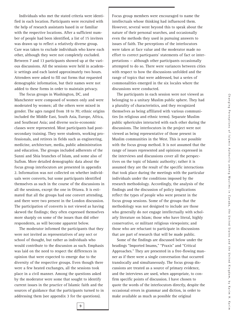Individuals who met the stated criteria were identified in each location. Participants were recruited with the help of research assistants based in or familiar with the respective locations. After a sufficient number of people had been identified, a list of 15 invitees was drawn up to reflect a relatively diverse group. Care was taken to exclude individuals who knew each other, although they were not completely excluded. Between 7 and 13 participants showed up at the various discussions. All the sessions were held in academic settings and each lasted approximately two hours. Attendees were asked to fill out forms that requested demographic information, but their names were not added to these forms in order to maintain privacy.

The focus groups in Washington, DC, and Manchester were composed of women only and were moderated by women; all the others were mixed in gender. The ages ranged from 18 to 70; ethnic origins included the Middle East, South Asia, Europe, Africa, and Southeast Asia; and diverse socio-economic classes were represented. Most participants had postsecondary training. They were students, working professionals, and retirees in fields such as engineering, medicine, architecture, media, public administration and education. The groups included adherents of the Sunni and Shia branches of Islam, and some also of Sufism. More detailed demographic data about the focus group interlocutors are presented in appendix 2. Information was not collected on whether individuals were converts, but some participants identified themselves as such in the course of the discussions in all the sessions, except the one in Ottawa. It is estimated that all the groups had one convert attending, and there were two present in the London discussion. The participation of converts is not viewed as having skewed the findings; they often expressed themselves more sharply on some of the issues than did other respondents, as will become apparent below.

The moderator informed the participants that they were not invited as representatives of any sect or school of thought, but rather as individuals who would contribute to the discussion as such. Emphasis was laid on the need to respect the differences in opinion that were expected to emerge due to the diversity of the respective groups. Even though there were a few heated exchanges, all the sessions took place in a civil manner. Among the questions asked by the moderator were some that sought to identify current issues in the practice of Islamic faith and the sources of guidance that the participants turned to in addressing them (see appendix 3 for the questions).

Focus group members were encouraged to name the intellectuals whose thinking had influenced them. However, several went beyond this to speak about the nature of their personal searches, and occasionally even the methods they used in pursuing answers to issues of faith. The perceptions of the interlocutors were taken at face value and the moderator made no effort to correct particpants' statements of fact or interpretations — although other participants occasionally attempted to do so. There were variances between cities with respect to how the discussions unfolded and the range of topics that were addressed, but a series of commonalities emerged in the six locales where the discussions were conducted.

The participants in each session were not viewed as belonging to a unitary Muslim public sphere. They had a plurality of characteristics, and they recognized themselves as being affiliated with various communities (in religious and ethnic terms). Separate Muslim public sphericules interacted with each other during the discussions. The interlocutors in the project were not viewed as being representative of those present in Muslim communities in the West. This is not possible with the focus group method. It is not assumed that the range of issues represented and opinions expressed in the interviews and discussions cover all the perspectives on the topic of Islamic authority; rather it is assumed they are the result of the specific interactions that took place during the meetings with the particular individuals under the conditions imposed by the research methodology. Accordingly, the analysis of the findings and the discussion of policy implications reflect the types of people who were present in the focus group sessions. Some of the groups that the methodology was not designed to include are those who generally do not engage intellectually with scholarly literature on Islam; those who have literal, highly conservative, or militant religious viewpoints; and those who are reluctant to participate in discussions that are part of research that will be made public.

Some of the findings are discussed below under the headings "Imported Imams," "Praxis" and "Critical Approaches." They are presented in a free-flowing manner as if there were a single conversation that occurred translocally and simultaneously. The focus group discussions are treated as a source of primary evidence, and the interviews are used, when appropriate, to confirm specific points of discussion. I have chosen to quote the words of the interlocutors directly, despite the occasional errors in grammar and diction, in order to make available as much as possible the original

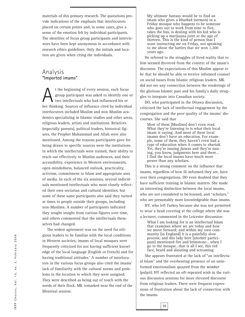materials of this primary research. The quotations provide indications of the emphasis that interlocutors placed on certain points and, in some cases, give a sense of the emotion felt by individual participants. The identities of focus group participants and interviewees have been kept anonymous in accordance with research ethics guidelines. Only the initials and location are given when citing the individuals.

### Analysis **"Imported imams"**

t the beginning of every session, each focus<br>group participant was asked to identify one<br>two intellectuals who had influenced his or<br>her thinking. Sources of influence cited by individue group participant was asked to identify one or two intellectuals who had influenced his or her thinking. Sources of influence cited by individual interlocutors included Muslim and non-Muslim academics specializing in Islamic studies and other areas, religious leaders, artists and institutions. Relatives (especially parents), political leaders, historical figures, the Prophet Muhammad and Allah were also mentioned. Among the reasons participants gave for being drawn to specific sources were the institutions in which the intellectuals were trained, their ability to reach out effectively to Muslim audiences, and their accessibility, experience in Western environments, open-mindedness, balanced outlook, practicality, activism, commitment to Islam and appropriate uses of media. In each of the six sessions, several individuals mentioned intellectuals who most closely reflected their own sectarian and cultural identities, but some of these same participants also said they turned at times to people outside their groups, including non-Muslims. A number of participants indicated they sought insight from various figures over time, and others commented that the intellectuals themselves had changed.

The widest agreement was on the need for religious leaders to be familiar with the local conditions in Western societies; imams of local mosques were frequently criticized for not having sufficient knowledge of the local language (English or French) and for having traditional attitudes.<sup>9</sup> A number of interlocutors in the various focus groups also cited the imams' lack of familiarity with the cultural norms and problems in the location to which they were assigned. They were described as being out of touch with the needs of their flock. MK remarked near the end of the Montreal session:

My ultimate fantasy would be to find an imam who gives a *khutbah* (sermon) in a Friday mosque who happens to be someone who goes out to work from nine to five, takes the bus, is dealing with his kid who is picking up a marijuana joint at the age of thirteen. This is the kind of person that I want instructing me on Friday, not speaking to me about the battles that we won 1,200 years ago.

He referred to the struggles of lived reality that to him seemed divorced from the context of the imam's discourse. The expectations of this Muslim appear to be that he should be able to receive informed counsel on social issues from Islamic religious leaders. MK did not see any connection between the renderings of the glorious Islamic past and his family's daily struggles to integrate into Canadian society.

DO, who participated in the Ottawa discussion, criticized the lack of intellectual engagement by the congregation and the poor quality of the imams' discourses. She said that

Most of them [Muslims] don't even read. What they're listening to is what their local imam is saying. And most of these local imams don't have an education. For example, some of them, they haven't even had a type of education when it comes to *shariah*. Yet, they're issuing *fatwas* and they're issuing, you know, judgments here and there… I find the local imams have much more power than any scholars.

This is a strong comment on the influence that imams, regardless of how ill-informed they are, have over their congregations. DO even doubted that they have sufficient training in Islamic matters. She made an interesting distinction between the local imams, who are not considered to be learned, and "scholars," who are presumably more knowledgeable than imams.

HY, who left Turkey because she was not permitted to wear a head covering at the college where she was a lecturer, commented in the Leicester discussion:

What I am looking for is an intellectual Islam that examines where we are today and how we move forward; and within my own community [in England] it is a painfully slow<br>process; and this lady here [another participant] mentioned fire and brimstone:...when I go to the mosque…that is all I see, this red face, beard and shouting and screaming.

She appears frustrated at the lack of "an intellectual Islam" and the overbearing presence of an uninformed emotionalism spouted from the *mimbar* (pulpit). HY reflected an oft-repeated wish in the various discussion sessions for more elevated discourse from religious leaders. There were frequent expressions of frustration about the lack of connection with the imams.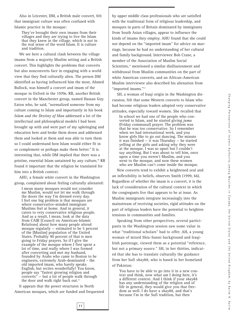Also in Leicester, DM, a British male convert, felt that immigrant culture was often confused with Islamic practice in the mosque:

They've brought their own imams from their villages and they are trying to live the Islam that they knew in the village, which is not in the real sense of the word Islam. It is culture and tradition.

We see here a cultural clash between the village imams from a majority Muslim setting and a British convert. This highlights the problems that converts but also nonconverts face in engaging with a world view that they find culturally alien. The person DM identified as having influenced him the most, Ahmed Bullock, was himself a convert and imam of the mosque in Oxford in the 1970s. RB, another British convert in the Manchester group, named Hassan Guy Eaton who, he said, "normalized someone from my culture coming to Islam and importantly in his book *Islam and the Destiny of Man* addressed a lot of the intellectual and philosophical models I had been brought up with and were part of my upbringing and education here and broke them down and addressed them and looked at them and was able to turn them so I could understand how Islam would either fit in or complement or perhaps make them better." It is interesting that, while DM implied that there was a pristine, essential Islam untainted by any culture,<sup>10</sup> RB found it important that the religion be translated for him into a British context.

AHU, a female white convert in the Washington group, complained about feeling culturally alienated:

I mean many mosques would not consider me Muslim, would not let me walk through the doors the way I'm dressed every day. I feel one big problem is that mosques are where conservative-minded immigrant Muslims feel at home. And in general, it caters to very conservative religious people. And as a result, I mean, look at the data from CAIR [Council on American-Islamic Relations] about how many people attend mosque regularly — estimated to be 5 percent of the [Muslim] population of the United States. Probably 90 percent of that is men going to Friday prayers. So if I give the example of the mosque where I first spent a lot of time, and really where I was formed after converting and met my husband, founded by Arabs who came to Boston to be engineers, extremely Arab-dominated – the old imported imam, who barely speaks English, but recites wonderfully! You know, people say "fastest growing religion and converts" — but a lot of people walk through the door and walk right back out.<sup>11</sup>

It appears that the power structures in North American mosques, which are funded and frequented

**11**

by upper middle class professionals who are satisfied with the traditional form of religious leadership, and mosques in parts of Britain dominated by immigrants from South Asian villages, appear to influence the kinds of imams they employ. AHU found that she could not depend on the "imported imam" for advice on marriage, because he had no understanding of her cultural and family background. Interviewee Bob Crane, a member of the Association of Muslim Social Scientists,<sup>12</sup> mentioned a similar disillusionment and withdrawal from Muslim communities on the part of white American converts, and an African-American Muslim interviewee also described his alienation from "imported imams."<sup>13</sup>

SH, a woman of Iraqi origin in the Washington discussion, felt that some Western converts to Islam who had become religious leaders adopted very conservative attitudes, especially toward women. She recalled that

In school we had one of the people who converted to Islam, and he started giving *juma* (Friday communal) prayer. The problem was that he was too conservative. So I remember when we had international week, and you know girls like to go out dancing. The minute it was finished  $-$  it was Thursday  $-$  he started yelling at the girls and asking why they were at the mosque. I was so upset but I couldn't say anything. But I was about to tell him, once upon a time you weren't Muslim, and you went to the mosque, and now these women who are Muslim can't come inside the mosque.

New converts tend to exhibit a heightened zeal and an inflexibility in beliefs, observes Smith (1999, 66). Regardless of whether the imam is a convert, it is the lack of consideration of the cultural context in which the congregants live that appears to be at issue. As Muslim immigrants integrate increasingly into the mainstream of receiving societies, rigid attitudes on the part of religious leaders have the potential to heighten tensions in communities and families.

Speaking from other perspectives, several participants in the Washington session saw some value in what "traditional scholars" had to offer. AH, a young woman of mixed Shia-Sunni background and Iraqi-Irish parentage, viewed them as a potential "reference, but not a primary source." SH, in her thirties, indicated that she has to translate culturally the guidance from her Sufi *shaykh*, who is based in her homeland of Pakistan:

You have to be able to go into it in a new context and think, now what am I doing here, it's a different context. And I think if your *shaykh* has any understanding of the religion and of life in general, they would give you that freedom as well. I do have a *shaykh*, and that's because I'm in the Sufi tradition, but then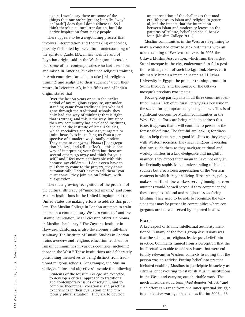again, I would say there are some of the things that our *tariqa* [group; literally, "way" or "path"] does that I don't adhere to. So I think there's a cultural translation, but I do derive inspiration from many people.

There appears to be a negotiating process that involves interpretation and the making of choices, possibly facilitated by the cultural understanding of the spiritual guide. MA, in her twenties and of Egyptian origin, said in the Washington discussion that some of her contemporaries who had been born and raised in America, but obtained religious training in Arab countries, "are able to take [this religious training] and sculpt it to their audience" upon their return. In Leicester, AB, in his fifties and of Indian origin, stated that

Over the last 50 years or so in the earlier period of my religious exposure, our understanding came from traditionalists who had gone through the traditional schools, they only had one way of thinking: that is right, that is wrong, and this is the way. But since then my community has developed institutes, one called the Institute of Ismaili Studies, which specializes and teaches youngsters to train themselves in teaching us from a perspective of a modern way, totally modern. They come to our *jamat khanas* ["congregation houses"] and tell us "look — this is one way of interpreting your faith but there are several others, go away and think for yourself," and I feel more comfortable with this because my children — I don't even have to tell them to come to the prayers, they come automatically. I don't have to tell them "you must come," they join me on Fridays, without question.

There is a growing recognition of the problem of the cultural illiteracy of "imported imams," and some Muslim institutions in the United Kingdom and the United States are making efforts to address this problem. The Muslim College in London attempts to train imams in a contemporary Western context,<sup>14</sup> and the Islamic Foundation, near Leicester, offers a diploma in Muslim chaplaincy.15 The Zaytuna Institute in Hayward, California, is also developing a full-time seminary. The Institute of Ismaili Studies in London trains *waezeen* and religious education teachers for Ismaili communities in various countries, including those in the West.<sup>16</sup> These institutions are deliberately positioning themselves as being distinct from traditional religious schools. For example, the Muslim College's "aims and objectives" include the following:

Students of the Muslim College are expected to develop a critical approach to traditional and contemporary issues of religion, and to combine theoretical, vocational and practical experiences in their evaluation of the religiously plural situation…They are to develop

an appreciation of the challenges that modern life poses to Islam and religion in general, and the impact that the interaction between Islam and modernity leaves on the patterns of culture, belief and social behaviour. (Muslim College 2005)

Muslim communities in the West are beginning to make a concerted effort to seek out imams with an understanding of Western contexts. In 2008 the Ottawa Muslim Association, which runs the largest Sunni mosque in the city, endeavoured to fill a position with a person of such background. However, it ultimately hired an imam educated at Al Azhar University in Egypt, the premier training ground in Sunni theology, and the source of the Ottawa mosque's previous two imams.

Focus group participants in all three countries identified imams' lack of cultural literacy as a key issue in the search for appropriate religious guidance. This is of significant concern for Muslim communities in the West. While efforts are being made to address this issue, it appears that it will continue to persist in the foreseeable future. The faithful are looking for direction to help them remain good Muslims as they engage with Western societies. They seek religious leadership that can guide them as they navigate spiritual and worldly matters in a knowledgeable and insightful manner. They expect their imam to have not only an intellectually sophisticated understanding of Islamic sources but also a keen appreciation of the Western contexts in which they are living. Researchers, policymakers and front-line workers serving immigrant communities would be well served if they comprehended these complex cultural and religious issues facing Muslims. They need to be able to recognize the tensions that may be present in communities where congregants are not well served by imported imams.

#### **Praxis**

A key aspect of Islamic intellectual authority mentioned in many of the focus group discussions was that the scholar or religious leader puts belief into practice. Comments ranged from a perception that the intellectual was able to address issues that were culturally relevant in Western contexts to noting that the person was an activist. Putting belief into practice included enabling Muslims to participate in society as citizens, endeavouring to establish Muslim institutions in the West, and carrying out charitable work. The much misunderstood term *jihad* denotes "effort," and such effort can range from one inner spiritual struggle to a defensive war against enemies (Karim 2003a, 38-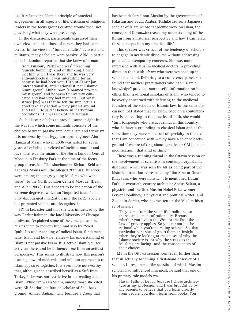54). It reflects the Islamic principle of practical engagement in all aspects of life. Criticism of religious leaders in the focus groups centred around them not practising what they were preaching.

In the discussions, participants expressed their own views and also those of others they had come across. In the views of "fundamentalist" activists and militants, many scholars were passive. ARM, a participant in London, reported that she knew of a man

from Finsbury Park [who was] preaching "suicide bombing" kind of thinking. I once met him when I was there and he was very anti-intellectual. It was interesting for me because he had been with Hizb ut-Tahrir [an internationalist, anti-nationalist, pan-Islamic Sunni group], Muhajiroon [a banned pro-terrorist group] and he wasn't university educated and had very bad manners…But what struck [me] was that he felt the intellectuals don't take any action — they just sit around and talk.17 He said "I believe in martyrdom operations." He was sick of intellectuals.

Such discourse helps to provide some insight into the ways in which some militants conceive of the choices between passive intellectualism and terrorism. It is noteworthy that Egyptian-born engineer Abu Hamza al Masri, who in 2006 was jailed for seven years after being convicted of inciting murder and race hate, was the imam of the North London Central Mosque in Finsbury Park at the time of the focus group discussion."The shoebomber Richard Reid and Zacarias Moussaoui, the alleged 20th 9/11 hijacker, were among the angry young Muslims who went there" [to the North London Central Mosque] (Dean and Allen 2006). This appears to be indication of the extreme degree to which an "imported imam" not only discouraged integration into the larger society but promoted violent attacks against it.

HY in Leicester said that she was influenced by the way Fazlur Rahman, the late University of Chicago professor, "explained some of the concepts and he relates them to modern life," and also by "Syed Qutb…his understanding of radical Islam, fundamentalist Islam and how he relates — his understanding of Islam is not passive Islam. It is active Islam, you see activism there, and he influenced me from an activist perspective." This seems to illustrate how this person's leanings toward modernist and militant approaches to Islam appeared together. It is even more noteworthy that, although she described herself as a Sufi from Turkey,18 she was not restrictive in her reading about Islam. While HY was a Sunni, among those she cited were Ali Shariati, an Iranian scholar of Shia background; Ahmed Qadiani, who founded a group that

has been declared non-Muslim by the governments of Pakistan and Saudi Arabia; Toshiko Izutsu, a Japanese scholar of Islam whose "academic work on Islam, the concepts of Koran…increased my understanding of the Koran from a historical perspective and how I can relate these concepts into my practical life."

This speaker was critical of the tendency of scholars to engage in academic discourse without addressing practical contemporary concerns. She was more impressed with Muslim medical doctors in providing direction than with *ulama* who were wrapped up in scholastic detail. Referring to a conference panel, she found that medical practitioners who had "Islamic knowledge" provided more useful information on bioethics than traditional scholars of Islam, who tended to be overly concerned with deferring to the medieval founders of the schools of Islamic law. In the same discussion, SM stated that for knowledge on a contemporary issue relating to the practice of faith, she would "turn to…people who are academics in this country, who do have a grounding in classical Islam and at the same time they have some sort of specialty in the area that I am concerned with — they have a science background if we are talking about genetics or GM [genetic modification], that kind of thing."

There was a running thread in the Ottawa session on the involvement of scientists in contemporary Islamic discourse, which was seen by AK as being part of the historical tradition represented by "Ibn Sina or Omar Khayyam, who were holistic." He mentioned Hasan Fathi, a twentieth-century architect; Abdus Salam, a physicist and the first Muslim Nobel Prize winner; Pervez Hoodhboy, a physicist and political writer; and Ziauddin Sardar, who has written on the Muslim history of science:

They come from the scientific traditions, so there's an element of rationality. Because, whether you live in the West or the East, the law of gravity applies. So you cannot but be rational when you're pursuing science. So, that particular bent sort of gives them an insight when they're looking at the causes of why the Islamic society is…or why the struggles the Muslims are facing…and the consequences of their choices.

MT in the Ottawa session went even further than that in actually becoming a first-hand observer of a scholar. In response to the question of which Muslim scholar had influenced him most, he said that one of his primary role models was

Hasan Fathi of Egypt, because I chose architecture as my profession and I was brought up by my parents to believe that you learn directly from people, you don't learn from books. You

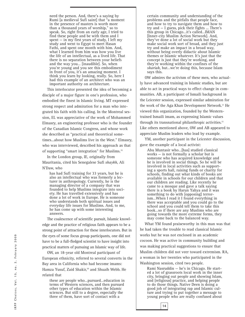need the person. And, there's a saying by Rumi [a medieval Sufi saint] that "a moment in the presence of masters is worth more than a thousand years of worship," so to speak. So, right from an early age, I tried to find these people and be with them and I spent  $-$  in my first years of study, I left my study and went to Egypt to meet Hasan Fathi, and spent one month with him. And, what I learned from him was how you live the life of an intellectual, as a lived life. That there is no separation between your beliefs and the way you… [inaudible]. So, when you're young and you see this embodiment in front of you, it's an amazing moment. I think you learn by looking, really. So, here I had this example of an architect who was an important authority on architecture.

This interlocutor presented the idea of becoming a disciple of a major figure in one's profession, who embodied the finest in Islamic living. MT expressed strong respect and admiration for a man who integrated his faith with his calling. In the Montreal session, EL was appreciative of the work of Mohammed Elmasry, an engineering professor who is the founder of the Canadian Islamic Congress, and whose work she described as "practical and theoretical sometimes...about how Muslims live in the West." Elmasry, who was interviewed, described his approach as that of supporting "smart integration" for Muslims.19

In the London group, IE, originally from Mauritania, cited his Senegalese Sufi *shaykh*, Ali N'Daw, who

has had Sufi training for 33 years, but he is also an intellectual who was formerly a lecturer in anthropology. Currently, he is the managing director of a company that was founded to help Muslims integrate into society. He has travelled extensively and has done a lot of work in Europe. He is someone who understands both spiritual issues and everyday life issues for Muslims. And, to me, he has come up with some interesting answers.

The coalescence of scientific pursuit, Islamic knowledge and the practice of religious faith appears to be a strong point of attraction for these interlocutors. But in the eyes of some focus group participants, one did not have to be a full-fledged scientist to have insight into practical matters of pursuing an Islamic way of life.

OW, an 18-year old Montreal participant of European ethnicity, referred to several converts in the Bay area in California who had become imams: Hamza Yusuf, Zaid Shakir, <sup>20</sup> and Shuaib Webb. He related that

these are people who…pursued…education in terms of Western sciences, and then pursued other types of education within the Islamic sciences. But still to a degree, especially the three of them, have sort of contact with a

certain community and understanding of the problems and the pitfalls that people face, and how to try to navigate them and how to try and — I guess, pick their fights ... There's this group in Chicago…it's called…IMAN [Inner-city Muslim Action Network]. And, they've done a lot of social work but they make social work sort of broad, and they just try and make an impact in a broad way, without being overly didactic about Islamic themes or Islamic whatever. It's just that the concept is just that they're working, and they're working within the confines of the *shariah*, but…we're doing this, because Islam says this.

OW admires the activism of these men, who actually have advanced training in Islamic studies, but are able to act in practical ways to effect change in communities. AB, a participant of Ismaili background in the Leicester session, expressed similar admiration for the work of the Aga Khan Development Network.<sup>21</sup> He viewed this organization, founded by the Westerntrained Ismaili imam, as expressing Islamic values through its transnational philanthropic activities. $22$ Like others mentioned above, OW and AB appeared to appreciate Muslim leaders who lead by example.

YM, another participant in the Leicester discussion, gave the example of a local activist:

Abu Muntasir who…[has] studied classical works — is not formally a scholar but is someone who has acquired knowledge and he is involved in social things. So he will be involved in local activities such as supporting a sports hall, raising funds or charity for schools, finding out what kinds of books are available in schools for our children and that our children are reading. Like recently he came to a mosque and gave a talk saying there is a book by Harun Yahya and it was something to do with [opposing] terrorism…When I read it I found everything in there was acceptable and you could go to the school and you could tell them to take this book…so if there are any Muslims who are going towards the more extreme forms, they may come back to the balanced way.

What YM found praiseworthy in this man was that he had taken the trouble to read classical Islamic works but he was not enclosed in an academic cocoon. He was active in community building and was making practical suggestions to ensure that Muslim children did not veer toward extremism. RA, a woman in her twenties who participated in the Washington session, cited two people.

Rami Nasruddin — he's in Chicago. He started a lot of grassroots local work in the inner city, bringing out people and showing Islam, and [religious] practice, and helping people to do those things. Native Deen is doing a good job of integrating rap and Islamic culture and trying to put together a message to young people who are really confused about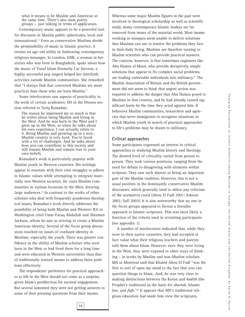what it means to be Muslim and American at the same time. There's also slam poetry groups — just talking in terms of application.

Contemporary music appears to be a powerful tool for discourse in Muslim public sphericules, local and transnational.23 Even as conservative Muslims deride the permissibility of music in Islamic practice, it retains an age-old utility in fashioning contemporary religious messages. In London, GNK, a woman in her sixties who was born in Bangladesh, spoke about how the music of Yusuf Islam (formerly Cat Stevens, a highly successful pop singer) helped her interfaith activities outside Muslim communities. She remarked that "I always find that converted Muslims are more practical than those who are born Muslim."

Some interlocutors saw aspects of practicality in the work of certain academics. DO in the Ottawa session referred to Tariq Ramadan:

The reason he impressed me so much is that he writes about being Muslim and living in the West. And he was born in the West and I grew up in the West, so when he talks about his own experience, I can actually relate to it. Being Muslim and growing up in a non-Muslim country is very hard. You're faced with a lot of challenges. And he talks about how you can contribute to this society and still remain Muslim and remain true to your own beliefs.

Ramadan's work is particularly popular with Muslim youth in Western countries. His writings appear to resonate with their own struggles to adhere to Islamic values while attempting to integrate materially into Western societies. He visits Muslim communities in various locations in the West, drawing large audiences.<sup>24</sup> In contrast to the works of other scholars who deal with frequently ponderous theological issues, Ramadan's work directly addresses the possibility of being both Muslim and Western. RA in Washington cited Umar Faruq Abdullah and Sherman Jackson, whom he saw as striving to create a Muslim American identity. Several of the focus group discussions touched on issues of confused identity in Muslims, especially the youth. There was greater confidence in the ability of Muslim scholars who were born in the West or had lived there for a long time and were educated in Western universities than that of traditionally trained imams to address these problems effectively.

The respondents' preference for practical approaches to life in the West should not come as a surprise, given Islam's predilection for societal engagement. But several lamented they were not getting answers to some of their pressing questions from their imams.

**15**

Whereas some major Muslim figures in the past were involved in theological scholarship as well as scientific study, many contemporary Islamic leaders are far removed from issues of the material world. Most imams working in mosques seem unable to deliver solutions that Muslims can use to resolve the problems they face in their daily living. Muslims are therefore turning to Muslim scientists who can provide practical answers. The concern, however, is that sometimes engineers like Abu Hamza al Masri, who provide deceptively simple solutions that appear to fix complex social problems, are leading vulnerable individuals into militancy.<sup>25</sup> The Muslim Association of Britain and the British government did not seem to think that urgent action was required to address the danger that Abu Hamza posed to Muslims in that country, and he had already caused significant harm by the time they acted against him. It behooves Muslim communities, researchers and agencies that serve immigrants to recognize situations in which Muslim youth in search of practical approaches to life's problems may be drawn to militancy.

#### **Critical approaches**

Some participants expressed an interest in critical approaches to studying Muslim history and theology. The desired level of criticality varied from person to person. They took various positions, ranging from the need for debate to disagreeing with elements within scripture. They saw such dissent as being an important part of the Muslim tradition. However, this is not a usual position in the dominantly conservative Muslim discourses, which generally tend to abhor any criticism of the normative creed (Abou El Fadl 2001; Arkoun 2002; Safi 2003). It is also noteworthy that no one in the focus groups appeared to favour a literalist approach to Islamic scriptures. This was most likely a function of the criteria used in recruiting participants (see appendix 1).

A number of interlocutors indicated that, while they were in their native countries, they had accepted at face value what their religious teachers and parents told them about Islam. However, once they were living in the West, they were exposed to other ways of thinking – in works by Muslim and non-Muslim scholars. MN in Montreal said that Khaled Abou El Fadl "was the first to sort of open my mind to the fact that you can question things in Islam…And, he was very clear in making distinctions between the Koran and *hadith* (the Prophet's traditions) as the basis for *shariah*, Islamic law, and *fiqh*."<sup>26</sup> It appears that MN's traditional religious education had made him view the scriptures,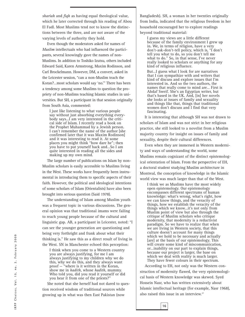*shariah* and *fiqh* as having equal theological value, which he later corrected through his reading of Abou El Fadl. Most Muslims tend not to know the distinctions between the three, and are not aware of the varying levels of authority they hold.

Even though the moderators asked for names of *Muslim* intellectuals who had influenced the participants, several knowingly gave the names of non-Muslims. In addition to Toshiko Izutsu, others included Edward Said, Karen Armstrong, Maxim Rodinson, and Carl Brockelmann. However, DM, a convert, asked in the Leicester session, "can a non-Muslim teach the Koran?…most scholars would say 'no.'" There has been a tendency among some Muslims to question the propriety of non-Muslims teaching Islamic studies in universities. But SH, a participant in that session originally from South Asia, commented:

I just like listening to what various people say without just absorbing everything everybody says...I am very interested in the critical side of Islam. I recently read a book on the Prophet Muhammad by a Jewish person. I can't remember the name of the author [she confirmed later that it was Maxim Rodinson] and it was interesting to read it. At some places you might think "how dare he"; then you have to put yourself back and…So I am quite interested in reading all the sides and making up my own mind.

The large number of publications on Islam by non-Muslim scholars is easily accessible to Muslims living in the West. These works have frequently been instrumental in introducing them to specific aspects of their faith. However, the political and ideological intentions of some scholars of Islam (Orientalists) have also been brought into serious question (Said 1978).

The understanding of Islam among Muslim youth was a frequent topic in various discussions. The general opinion was that traditional imams were failing to reach young people because of the cultural and linguistic gap. AB, a participant in Leicester, noted: "I can see the younger generation are questioning and being very forthright and frank about what their thinking is." He saw this as a direct result of living in the West. SN in Manchester echoed this perception:

I think when you come to a Western country you are always justifying, for me I am always justifying to my children why we do this, why we do this, and they always want proof — "where is it written in the Koran, show me in *hadith*, whose *hadith*, mummy. Who told you, did you read it yourself or did you hear it from one of the priests?"

She noted that she herself had not dared to question received wisdom of traditional sources while growing up in what was then East Pakistan (now

Bangladesh). SH, a woman in her twenties originally from India, indicated that the religious freedom in her household encouraged her to explore readings beyond traditional material:

I guess my views are a little different because of the family environment I grew up in. We, in terms of religion, have a very don't-ask-don't-tell policy, which is, "I don't tell you what to do, so you don't tell me what to do." So, in that sense, I've never really looked to scholars or anything for any kind of religious influence.

But…I guess what I look for are narratives that I can sympathize with and writers that kind of discuss and explore issues that I'm interested in. And so the two authors, the names that really come to mind are… First is Ahdaf Sweif. She's an Egyptian writer, but that's based in the UK. And, [in] her novels she looks at issues of family and sexuality and things like that, things that traditional women don't discuss and I find that very fascinating.

It is interesting that although SH was not drawn to scholars of Islam and was not strict in her religious practice, she still looked to a novelist from a Muslim majority country for insight on issues of family and sexuality, despite their cultural differences.

Even when they are immersed in Western modernity and ways of understanding the world, some Muslims remain cognizant of the distinct epistemological orientation of Islam. From the perspective of EH, a doctoral student studying Muslim architecture in Montreal, the conception of knowledge in the Islamic world view was much larger than that of the West.

I think we as Muslims have the most widely open epistemology. Our epistemology encompasses different spectrums of human knowledge: what's wrong, what's right, how we can know things, and the veracity of things, how we establish the veracity of the things which we know...it's not only from Muslim point of view but also through the critique of Muslim scholars who critique modernity, that modernity is a reductivist paradigm. So we have to realize that when we are living in Western society, that this culture doesn't account for many things which we hold to be necessary and actually [are] at the basis of our epistemology. This will create some kind of miscommunication, or…inability on our part to explain things, because our project is larger, the base on which we deal with reality is much larger. They have fewer colours in their spectrum.

According to EH, not only was the Western construction of modernity flawed, the very epistemological basis of Western knowledge was skewed. Syed Hossein Nasr, who has written extensively about Islamic intellectual heritage (for example, Nasr 1968), also raised this issue in an interview. 27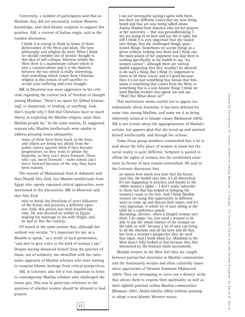Conversely, a number of participants said that as Muslims they did not necessarily eschew Western knowledge, and cited Islamic scripture to support this position. AM, a convert of Italian origin, said in the London discussion,

I think it is wrong to think in terms of these dichotomies of the West and Islam. The best philosophy and religion do meet. What I think we should consider out of secular thought is this idea of self-critique. Inherent within the West there is a mainstream culture which is also a counterculture and it is the dialectic between the two which is really interesting. And something which comes from Christian religion is this notion of self-sacrifice to accept your suffering and your struggle.

MK in Montreal was more aggressive in his criticism regarding the current lack of freedom of thought among Muslims: "there's no space for *ijtihad* [reasoning], or skepticism, or reading, or anything. And, that's maybe why I find that Christians have so much liberty in exploring the Muslim religion, more than Muslim people do." In the same session, EL suggested reasons why Muslim intellectuals were unable to address pressing issues adequately:

some of them have been stuck in the boat, and others are being too afraid from the public outcry against them if they become progressives, so they want to please the majority, so they can't move forward. Those who can, move forward — some others can't move forward because of the way they have been trained.

The travails of Muhammad Said al-Ashmawi and Nasr Hamid Abu Zaid, two Muslim intellectuals from Egypt who openly espoused critical approaches, were mentioned in the discussions. MK in Montreal said that Abu Zaid

tries to break the literalism of strict followers of the Koran and presents a different opinion. And, this person has been hassled big time. He was decreed an infidel in Egypt, making his marriage to his wife illegal, and he had to flee the country.

FO stated in the same session that, although her outlook was secular, "it's important for me, as a Muslim to speak," as a result of such persecution, "and also to give voice to the kind of woman I am." Despite having distanced herself from the practice of Islam, out of solidarity she identified with the rationalist approach of Muslim scholars who were seeking to examine Islamic heritage from critical perspectives.

SM, in Leicester, also felt it was important to listen to contemporary Muslim scholars who challenged the status quo. This was in particular reference to the question of whether women should be allowed to lead prayers.

I am not necessarily saying I agree with them, but there are different voices that are now being heard and that are now being talked about. Amina Wadud from America who led her prayers at her university — that was groundbreaking. I am not going to sit here and say she is right, but still I think it is very important that she looked into things, that she challenged things, questioned things. Sometimes we accept things as a given without looking into them and I think one the main points of her argument was that there is nothing specifically in the *hadith* to say "no, women cannot"; although there are various *hadith* suggesting that they wouldn't be allowed to do such a thing. But I think it's important to listen to all these voices, and it's good because then it's not just something that means that feminism is something that comes from the West, or something that is a non-Islamic thing. I think we need Muslim women who speak out and say "Wait! No! What about us?"

This interlocutor seems careful not to appear too enthusiastic about feminism. It has been debated for some time among Muslims, and some see it as being inherently inimical to Islamic values (Mahmood 2005). SM is not certain about the appropriateness of Wadud's actions, but appears glad that she stood up and asserted herself intellectually and through her actions.

Some focus group members commented that a lot is said about the lofty place of women in Islam but the social reality is quite different. Scripture is quoted to affirm the rights of women, but the established structures in favour of men remain entrenched. SH said in

the Leicester discussion that

no matter how much you state that the Koran says this, the *hadith* says this, it's all theoretical. It's not happening in practice, and maybe in the 1960s women's rights — I don't really subscribe to them, but that has helped in bringing the women's cause to the fore. And I think Muslim women are using this opportunity in different ways to come up and discuss their issues, and it's very important. A whole lot of men sitting at the table [at a conference panel] discussing…divorce…when a [single] woman isn't there. I do argue "no, you need a woman to be able to put the whole essence of the woman on the table as well" because a lot of men can bring in all the *shariahs* and all the laws and all that, but from a woman's perspective they do need that input. And I think Islam [i.e. Muslims] in the West hasn't fully looked at that because they feel threatened by the feminist white movements.

Muslim women in the West feel they are caught between patriarchal structures in Muslim communities and the dominantly secular and often culturally insensitive approaches of Western feminism (Mahmood 2005). They are attempting to carve out a distinct niche that allows them to express their spirituality as well as their rightful position within Muslim communities (Bhimani 2003; Abdul-Ghafur 2005) without seeming to adopt a non-Islamic Western stance.

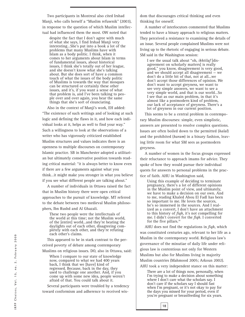Two participants in Montreal also cited Irshad Manji, who calls herself a "Muslim refusenik" (2003), in response to the question of which Muslim intellectual had influenced them the most. OW noted that

despite the fact that I don't agree with much of what she says, I find Irshad Manji very interesting…She's put into a book a lot of the problems that many Muslims have with Islam as a body politic. I think, when it comes to her arguments about Islam in terms of fundamental issues, about historical issues, I think she's totally out of her league, and she doesn't know what she's talking about. But she does sort of have a common touch of what the issues of the body politic of Muslims is towards the way that mosques can be structured or certainly these other issues, and it's, if you want a sense of what that problem is, and I've been talking to people over and over again, you hear the same things that she's sort of enunciating.

Also in the context of Manji's work, EH added: "The existence of such writings and of looking at such logic and defining the flaws in it, and how each individual looks at it, helps as well to find your way." Such a willingness to look at the observations of a writer who has vigorously criticized established Muslim structures and values indicates there is an openness to multiple discourses on contemporary Islamic practice. SB in Manchester adopted a utilitarian but ultimately conservative position towards reading critical material: "it is always better to know even if there are a few arguments against what you think…it might make you stronger in what you believe if you see what different people are talking about."

A number of individuals in Ottawa raised the fact that in Muslim history there were open critical approaches to the pursuit of knowledge. MT referred to the debate between two medieval Muslim philosophers, Ibn Rushd and Al Ghazali.

These two people were the intellectuals of the world at this time; not the Muslim world, of the [entire] world...and they're beating the daylights out of each other, disagreeing completely with each other, and they're refuting each other's claims.

This appeared to be in stark contrast to the perceived poverty of debate among contemporary Muslims on religious issues. DO, also in Ottawa, said:

When I compare to our state of knowledge now, compared to what we had 400 years back, I think that we [have] kind of regressed. Because, back in the day, they used to challenge one another. And, if you come up with some new idea, people weren't afraid of that. You could talk about it.

Several participants were troubled by a tendency toward conformism and adherence to received wisdom that discourages critical thinking and even thinking for oneself.

A number of interlocutors commented that Muslims tended to have a binary approach to religious matters. They perceived a resistance to examining the details of an issue. Several people complained Muslims were not living up to the rhetoric of engaging in serious debate. SM said in the Washington session:

I see the usual talk about "oh, *ikhtilaf* [disagreement on scholarly matters] is really good," you know, disagreement is very good, and we should accept all disagreement — we don't do a little bit of that, not at all...we don't accept those differences of opinion. We don't want to accept greyness, we want to see very simple answers, we want to see a very simple world, and that is our world…So I see that as our main problem, in that it's almost like a postmodern kind of problem, our lack of acceptance of greyness. There's a lot of greyness in our current position.

This seems to be a central problem in contemporary Muslim discourses: simple, even simplistic, answers are presented to resolve complex questions. Issues are often boiled down to the permitted (*halal*) and the prohibited (*haram*) in a binary fashion, leaving little room for what SM sees as postmodern greyness.

A number of women in the focus groups expressed their reluctance to approach imams for advice. They spoke of how they would pursue their individual quests for answers to personal problems in the practice of faith. AHU in Washington said,

Using this example of deciding to terminate pregnancy, there's a lot of different opinions in the Muslim point of view, and ultimately, we have to make a decision on our own. And to me, reading Khaled Abou El Fadl has been so important to me. He loves the sources, he's so immersed in the sources. And I realized as a convert, I don't have an attachment to this history of *fiqh*, it's not compelling for me. I didn't convert for the *fiqh*. I converted for the five pillars.<sup>28</sup>

AHU does not find the regulations in *fiqh*, which was constituted centuries ago, relevant to her life as a Muslim in the contemporary world. Religious law's governance of the minutiae of daily life under religious law is contentious not only for Western Muslims but also for Muslims living in majority

Muslim countries (Mahmood 2005; Arkoun 2002).

AHU took a very independent stance on this matter:

There are a lot of things now, personally, when I'm trying to make a decision about something where I don't care what the scholars say. I don't care if the scholars say I should fast when I'm pregnant, or it's not okay to pay for the days you missed for your period, even if you're pregnant or breastfeeding for six years.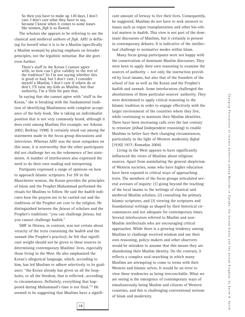So then you have to make up 120 days. I don't care. I don't care what they have to say, because I know when it comes to some issues like women, *fiqh* is so flawed.

The scholars she appears to be referring to are the classical and medieval authors of *fiqh*. AHU is defining for herself what it is to be a Muslim (specifically a Muslim woman) by placing emphasis on broader principles, not the legalistic minutiae. But she goes even further:

There's stuff in the Koran I cannot agree with, so how can I give validity to the rest of the tradition? So I'm not saying whether this is good or bad, but I don't care. I consider myself a Muslim, I don't care if others do or don't, I'll raise my kids as Muslim, but that authority, I'm a little bit past that.

In saying that she cannot agree with "stuff in the Koran," she is breaking with the fundamental tradition of identifying Muslimness with complete acceptance of the holy book. She is taking an individualist position that is not very commonly heard, although it does exist among Muslims (for example, see Arkoun 2002; Berktay 1998). It certainly stood out among the statements made in the focus group discussions and interviews. Whereas AHU was the most outspoken on this issue, it is noteworthy that the other participants did not challenge her on the vehemence of her statements. A number of interlocutors also expressed the need to do their own reading and interpreting.

Partipants expressed a range of opinions on how to approach Islamic scriptures. For SN in the Manchester session, the Koran provides the principles of Islam and the Prophet Muhammad performed the rituals for Muslims to follow. He said the *hadith* indicates how the prayers are to be carried out and the traditions of the Prophet are core to the religion. He distinguished between the *fatwas* of scholars and the Prophet's traditions: "you can challenge *fatwas*, but you cannot challenge *hadith*."

SMF in Ottawa, in contrast, was not certain about veracity of the texts containing the *hadith* and the *sunnah* (the Prophet's practice); he felt that significant weight should not be given to these sources in determining contemporary Muslims' lives, especially those living in the West. He also emphasized the Koran's allegorical language, which, according to him, has led Muslims to adhere selectively to its guidance: "the Koran already has given us all the loopholes, or all the freedom, that is reflected…according to circumstances. Definitely, everything that happened during Muhammad's time is not final."29 He seemed to be suggesting that Muslims have a significant amount of leeway to live their lives. Consequently, he suggested, Muslims do not have to seek answers to issues such as organ transplantation and other bio-ethical matters in *hadith*. This view is not part of the dominant discourses of Muslims, but it certainly is present in contemporary debates. It is indicative of the intellectual challenge to normative modes within Islam.

Many focus group participants were not happy with the conservatism of dominant Muslim discourses. They were keen to apply their own reasoning to examine the sources of authority — not only the instruction provided by local imams, but also that of the founders of the school of law as well as the Koran and the Prophet's *hadith* and *sunnah*. Some interlocutors challenged the absoluteness of these particular sources' authority. They were determined to apply critical reasoning to the Islamic tradition in order to engage effectively with the larger environment of the countries where they live, while continuing to maintain their Muslim identities. There have been increasing calls over the last century to reinstate *ijtihad* (independent reasoning) to enable Muslims to better face their changing circumstances, particularly in the light of Western modernity (Iqbal [1930] 1977; Ramadan 2004).

Living in the West appears to have significantly influenced the views of Muslims about religious sources. Apart from assimilating the general skepticism of Western societies, some who have higher education have been exposed to critical ways of approaching texts. The members of the focus groups articulated several avenues of inquiry: (1) going beyond the teaching of the local imams to the writings of classical and medieval Muslim scholars, (2) consulting the primary Islamic scriptures, and (3) viewing the scriptures and foundational writings as shaped by their historical circumstances and not adequate for contemporary times. Several interlocutors referred to Muslim and non-Muslim intellectuals who are encouraging critical approaches. While there is a growing tendency among Muslims to challenge received wisdom and use their own reasoning, policy-makers and other observers would be mistaken to assume that this means they are abandoning their Muslim identity. On the contrary, it reflects a complex soul-searching in which many Muslims are attempting to come to terms with their Western and Islamic selves. It would be an error to view these tendencies as being irreconcilable. What we are seeing is the emergence of contemporary ways of simultaneously being Muslim and citizens of Western countries, and this is challenging conventional notions of Islam and modernity.

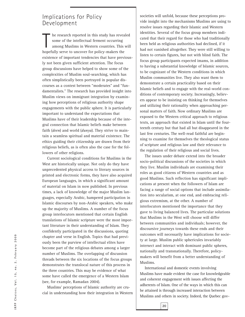### Implications for Policy Development

In this study has revear for end of the intellectual ferment occurring among Muslims in Western countries. This hopefully serve to uncover for policy-makers the he research reported in this study has revealed some of the intellectual ferment occurring among Muslims in Western countries. This will existence of important tendencies that have previously not been given sufficient attention. The focus group discussions have helped to show some of the complexities of Muslim soul-searching, which has often simplistically been portrayed in popular discourses as a contest between "moderates" and "fundamentalists." The research has provided insight into Muslim views on immigrant integration by examining how perceptions of religious authority shape engagements with the public sphere. It is particularly important to understand the expectations that Muslims have of their leadership because of the integral connection that Islamic beliefs make between faith (*deen*) and world (*dunya*). They strive to maintain a seamless spiritual and material existence. The ethics guiding their citizenship are drawn from their religious beliefs, as is often also the case for the followers of other religions.

Current sociological conditions for Muslims in the West are historically unique. Not only do they have unprecedented physical access to literary sources in printed and electronic forms, they have also acquired European languages, in which a significant amount of material on Islam in now published. In previous times, a lack of knowledge of the major Muslim languages, especially Arabic, hampered participation in Islamic discourses by non-Arabic speakers, who make up the majority of Muslims. A number of the focus group interlocutors mentioned that certain English translations of Islamic scripture were the most important literature in their understanding of Islam. They confidently participated in the discussions, quoting chapter and verse in English. Topics that had previously been the purview of intellectual elites have become part of the religious debates among a larger number of Muslims. The overlapping of discussion threads between the six locations of the focus groups demonstrates the translocal nature of this process in the three countries. This may be evidence of what some have called the emergence of a Western Islam (see, for example, Ramadan 2004).

Muslims' perceptions of Islamic authority are crucial in understanding how their integration in Western societies will unfold, because these perceptions provide insight into the mechanisms Muslims are using to resolve issues regarding their Islamic and Western identities. Several of the focus group members indicated that their regard for those who had traditionally been held as religious authorities had declined, if it had not vanished altogether. They were still willing to listen to certain figures, but not with blind faith. The focus group participants expected imams, in addition to having a substantial knowledge of Islamic sources, to be cognizant of the Western conditions in which Muslim communities live. They also want them to demonstrate a certain practicality based on their Islamic beliefs and to engage with the real-world conditions of contemporary society. Increasingly, believers appear to be insisting on thinking for themselves and utilizing their rationality when approaching personal matters of faith. Now ordinary Muslims are exposed to the Western critical approach to religious texts, an approach that existed in Islam until the fourteenth century but that had all but disappeared in the last few centuries. The well-read faithful are beginning to examine for themselves the theological status of scripture and religious law and their relevance to the regulation of their religious and social lives.

The issues under debate extend into the broader socio-political discussions of the societies in which they live. Muslim individuals are examining their roles as good citizens of Western countries and as good Muslims. Such reflection has significant implications at present when the followers of Islam are facing a range of social options that include assimilation into secularism, at one end, and embracing religious extremism, at the other. A number of interlocutors mentioned the importance that they gave to living balanced lives. The particular solutions that Muslims in the West will choose will differ between communities and individuals; however, the discoursive journeys towards these ends and their outcomes will necessarily have implications for society at large. Muslim public sphericules invariably intersect and interact with dominant public spheres, nationally and transnationally. Therefore, policymakers will benefit from a better understanding of Muslims.

International and domestic events involving Muslims have made evident the case for knowledgeable and coherent engagement with issues affecting the adherents of Islam. One of the ways in which this can be attained is through increased interaction between Muslims and others in society. Indeed, the Quebec gov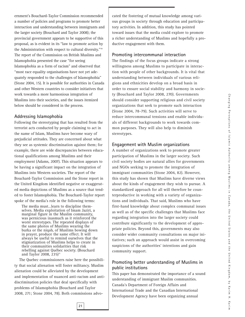ernment's Bouchard-Taylor Commission recommended a number of policies and programs to promote better interaction and understanding between immigrants and the larger society (Bouchard and Taylor 2008); the provincial government appears to be supportive of this proposal, as is evident in its "law to promote action by the Administration with respect to cultural diversity."30 The report of the Commission on British Muslims and Islamophobia presented the case "for seeing Islamophobia as a form of racism" and observed that "most race equality organisations have not yet adequately responded to the challenges of Islamophobia" (Stone 2004, 15). It is possible for authorities in Canada and other Western countries to consider initiatives that work towards a more harmonious integration of Muslims into their societies, and the issues itemized below should be considered in the process.

#### **Addressing Islamophobia**

Following the stereotyping that has resulted from the terrorist acts conducted by people claiming to act in the name of Islam, Muslims have become wary of prejudicial attitudes. They are concerned about what they see as systemic discrimination against them; for example, there are wide discrepancies between educational qualifications among Muslims and their employment (Adams, 2007). This situation appears to be having a significant impact on the integration of Muslims into Western societies. The report of the Bouchard-Taylor Commission and the Stone report in the United Kingdom identified negative or exaggerated media depictions of Muslims as a source that tended to foster Islamophobia. The Bouchard-Taylor report spoke of the media's role in the following terms:

The media must…learn to discipline themselves. Media exploitation of Imam Jaziri, a marginal figure in the Muslim community, was pernicious inasmuch as it reinforced the worst stereotypes. The repeated displays of the same photos of Muslims wearing the burka or the niqab, of Muslims bowing down in prayer, produce the same effect. It will always be useful to remind ourselves that the stigmatization of Muslims helps to create in their communities solidarities that risk rebelling against Québec society. (Bouchard and Taylor 2008, 235)<sup>31</sup>

The Quebec commissioners raise here the possibility that social alienation will foster militancy. Muslim alienation could be alleviated by the development and implementation of nuanced anti-racism and antidiscrimination policies that deal specifically with problems of Islamophobia (Bouchard and Taylor 2008, 271; Stone 2004, 78). Both commissions advocated the fostering of mutual knowledge among various groups in society through education and participatory activities. In addition, this study has pointed toward issues that the media could explore to promote a richer understanding of Muslims and hopefully a productive engagement with them.

#### **Promoting intercommunal interaction**

The findings of the focus groups indicate a strong willingness among Muslims to participate in interaction with people of other backgrounds. It is vital that understanding between individuals of various religions and ethnicities develop on a broad basis in order to ensure social stability and harmony in society (Bouchard and Taylor 2008, 270). Governments should consider supporting religious and civil society organizations that seek to promote such interaction (Stone 2004, 78-79). Such activities will serve to reduce intercommunal tensions and enable individuals of different backgrounds to work towards common purposes. They will also help to diminish stereotypes.

#### **Engagement with Muslim organizations**

A number of organizations seek to promote greater participation of Muslims in the larger society. Such civil society bodies are natural allies for governments and NGOs seeking to promote the integration of immigrant communities (Stone 2004, 82). However, this study has shown that Muslims have diverse views about the kinds of engagement they wish to pursue. A standardized approach for all will therefore be counterproductive in working with a variety of organizations and individuals. That said, Muslims who have first-hand knowledge about complex communal issues as well as of the specific challenges that Muslims face regarding integration into the larger society could contribute significantly to the development of appropriate policies. Beyond this, governments may also consider wider community consultations on major initiatives; such an approach would assist in overcoming suspicions of the authorities' intentions and gain community support.

#### **Promoting better understanding of Muslims in public institutions**

This paper has demonstrated the importance of a sound understanding of immigrant Muslim communities. Canada's Department of Foreign Affairs and International Trade and the Canadian International Development Agency have been organizing annual

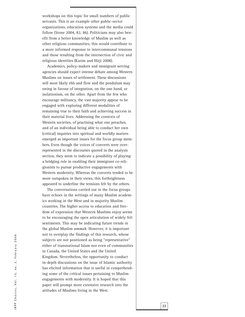workshops on this topic for small numbers of public servants. This is an example other public-sector organizations, education systems and the media could follow (Stone 2004, 82, 86). Politicians may also ben efit from a better knowledge of Muslim as well as other religious communities; this would contribute to a more informed response to intercommunal tensions and those resulting from the intersection of civic and religious identities (Karim and Hirji 2008).

Academics, policy-makers and immigrant serving agencies should expect intense debate among Western Muslims on issues of settlement. These discussions will most likely ebb and flow and the pendulum may swing in favour of integration, on the one hand, or isolationism, on the other. Apart from the few who encourage militancy, the vast majority appear to be engaged with exploring different modalities of remaining true to their faith and achieving success in their material lives. Addressing the contexts of Western societies, of practising what one preaches, and of an individual being able to conduct her own (critical) inquiries into spiritual and worldly matters emerged as important issues for the focus group members. Even though the voices of converts were overrepresented in the discourses quoted in the analysis section, they seem to indicate a possibility of playing a bridging role in enabling their immigrant co-reli gionists to pursue productive engagements with Western modernity. Whereas the converts tended to be more outspoken in their views, this forthrightness appeared to underline the tensions felt by the others.

The conversations carried out in the focus groups have echoes in the writings of many Muslim academ ics working in the West and in majority Muslim countries. The higher access to education and free dom of expression that Western Muslims enjoy seems to be encouraging the open articulation of widely felt sentiments. This may be indicating future trends in the global Muslim *ummah*. However, it is important not to overplay the findings of this research, whose subjects are not positioned as being "representative" either of transnational Islam nor even of communities in Canada, the United States and the United Kingdom. Nevertheless, the opportunity to conduct in-depth discussions on the issue of Islamic authority has elicited information that is useful in comprehend ing some of the critical issues pertaining to Muslim engagements with modernity. It is hoped that this paper will prompt more extensive research into the attitudes of Muslims living in the West.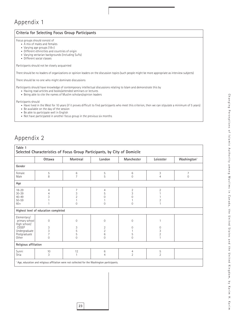## Appendix 1

| Criteria for Selecting Focus Group Participants                                                                                                                                                                                                                        |  |  |  |  |  |
|------------------------------------------------------------------------------------------------------------------------------------------------------------------------------------------------------------------------------------------------------------------------|--|--|--|--|--|
| Focus groups should consist of<br>• A mix of males and females<br>• Varying age groups $(18+)$<br>• Different ethnicities and countries of origin<br>• Varying sectarian backgrounds (including Sufis)<br>• Different social classes                                   |  |  |  |  |  |
| Participants should not be closely acquainted                                                                                                                                                                                                                          |  |  |  |  |  |
| There should be no leaders of organizations or opinion leaders on the discussion topics (such people might be more appropriate as interview subjects)                                                                                                                  |  |  |  |  |  |
| There should be no one who might dominate discussions                                                                                                                                                                                                                  |  |  |  |  |  |
| Participants should have knowledge of contemporary intellectual discussions relating to Islam and demonstrate this by<br>• Having read articles and books/attended seminars or lectures<br>• Being able to cite the names of Muslim scholars/opinion leaders           |  |  |  |  |  |
| Participants should<br>• Have lived in the West for 10 years (if it proves difficult to find participants who meet this criterion, then we can stipulate a minimum of 5 years)<br>• Be available on the day of the session<br>• Be able to participate well in English |  |  |  |  |  |

• Not have participated in another focus group in the previous six months

## Appendix 2

| Table 1<br>Selected Characteristics of Focus Group Participants, by City of Domicile                      |                                               |                                                         |                                                            |                                             |                                   |                         |  |
|-----------------------------------------------------------------------------------------------------------|-----------------------------------------------|---------------------------------------------------------|------------------------------------------------------------|---------------------------------------------|-----------------------------------|-------------------------|--|
|                                                                                                           | Ottawa                                        | Montreal                                                | London                                                     | Manchester                                  | Leicester                         | Washington <sup>1</sup> |  |
| Gender                                                                                                    |                                               |                                                         |                                                            |                                             |                                   |                         |  |
| Female<br>Male                                                                                            | 5<br>8                                        | 6<br>$\overline{7}$                                     | 5<br>5                                                     | $\,6$<br>$\Omega$                           | 3<br>$\overline{4}$               | 7<br>$\overline{0}$     |  |
| Age                                                                                                       |                                               |                                                         |                                                            |                                             |                                   |                         |  |
| $18 - 29$<br>$30 - 39$<br>$40 - 49$<br>$50 - 59$<br>$60+$                                                 | 4<br>3                                        | $\overline{7}$<br>3<br>$\overline{2}$<br>$\overline{0}$ | 4<br>5<br>0<br>$\Omega$                                    | $\overline{2}$<br>3<br>O<br>$\Omega$        | $\sqrt{2}$<br>$\overline{2}$<br>1 |                         |  |
| Highest level of education completed                                                                      |                                               |                                                         |                                                            |                                             |                                   |                         |  |
| Elementary/<br>primary school<br>High school/<br><b>CEGEP</b><br>Undergraduate<br>Postgraduate<br>Other   | $\mathbf{0}$<br>3<br>3<br>$\overline{7}$<br>0 | $\mathbf 0$<br>3<br>5<br>5<br>$\overline{0}$            | $\mathbf{0}$<br>2<br>$\overline{2}$<br>6<br>$\overline{0}$ | $\Omega$<br>$\Omega$<br>5<br>$\overline{0}$ | 0<br>3<br>$\overline{2}$<br>1     |                         |  |
| Religious affiliation                                                                                     |                                               |                                                         |                                                            |                                             |                                   |                         |  |
| Sunni<br>Shia                                                                                             | 10<br>3                                       | 12<br>1                                                 | 6<br>4                                                     | $\overline{4}$<br>$\overline{2}$            | 5<br>$\overline{2}$               |                         |  |
| <sup>1</sup> Age, education and religious affiliation were not collected for the Washington participants. |                                               |                                                         |                                                            |                                             |                                   |                         |  |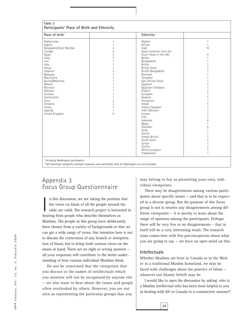| Table 2<br>Participants' Place of Birth and Ethnicity                                                                                                                                                                                                                                |                                                                                                                                                                                                                |                                                                                                                                                                                                                                                                                                                                                                                                                                                                                                                             |                                                                                                                                                                                                                                 |  |  |  |
|--------------------------------------------------------------------------------------------------------------------------------------------------------------------------------------------------------------------------------------------------------------------------------------|----------------------------------------------------------------------------------------------------------------------------------------------------------------------------------------------------------------|-----------------------------------------------------------------------------------------------------------------------------------------------------------------------------------------------------------------------------------------------------------------------------------------------------------------------------------------------------------------------------------------------------------------------------------------------------------------------------------------------------------------------------|---------------------------------------------------------------------------------------------------------------------------------------------------------------------------------------------------------------------------------|--|--|--|
| Place of birth <sup>1</sup>                                                                                                                                                                                                                                                          |                                                                                                                                                                                                                | Ethnicity <sup>2</sup>                                                                                                                                                                                                                                                                                                                                                                                                                                                                                                      |                                                                                                                                                                                                                                 |  |  |  |
| Afghanistan<br>Algeria<br>Bangladesh/East Pakistan<br>Canada<br>Egypt<br>India<br>Iran<br>Italy<br>Kenya<br>Lebanon<br>Malaysia<br>Mauritania<br>Burma/Myanmar<br>Malawi<br>Morocco<br>Pakistan<br>Somalia<br>Switzerland<br>Syria<br>Tanzania<br>Turkey<br>Uganda<br>United Kingdom | 1<br>1<br>3<br>$\overline{4}$<br>$\overline{2}$<br>3<br>$\mathbf{1}$<br>1<br>3<br>$\mathbf{1}$<br>$\overline{2}$<br>$\mathbf{1}$<br>$\mathbf{1}$<br>$\overline{2}$<br>$\overline{2}$<br>$\mathbf{1}$<br>1<br>9 | Afghan<br>African<br>Arab<br>Asian (common term for<br>South Asian in the UK)<br>Berber<br>Bangladeshi<br><b>British</b><br><b>British Asian</b><br>British Bangladeshi<br><b>Burmese</b><br>Canadian<br>East African Asian<br>Egyptian<br>Egyptian-Canadian<br>English<br>European<br>Gujarati<br>Hungarian<br>Indian<br>Indian-Canadian<br>Indo-Pakistani<br>Iranian<br>Irish<br>Lebanese<br>Malay<br>Pakistani<br>Scots<br>Somali<br>Somali British<br>South Asian<br>Syrian<br>Turkish<br>White European<br>Yuqoslavian | $\mathbf{1}$<br>$\mathbf{1}$<br>10<br>$\overline{4}$<br>$\mathbf{1}$<br>3<br>$\overline{2}$<br>5<br>$\overline{2}$<br>$\overline{4}$<br>5<br>$\overline{2}$<br>$\overline{1}$<br>$\overline{2}$<br>$\mathbf{1}$<br>$\mathbf{1}$ |  |  |  |
| Excluding Washington participants.                                                                                                                                                                                                                                                   |                                                                                                                                                                                                                |                                                                                                                                                                                                                                                                                                                                                                                                                                                                                                                             |                                                                                                                                                                                                                                 |  |  |  |

<sup>2</sup> Self-described categories; multiple responses were permitted; data for Washington are not available

## Appendix 3 Focus Group Questionnnaire

In this discussion, we are taking the position<br>the views on Islam of all the people around<br>table are valid. The research project is intere<br>hearing from people who describe themselves as n this discussion, we are taking the position that the views on Islam of all the people around the table are valid. The research project is interested in Muslims. The people in this group have deliberately been chosen from a variety of backgrounds so that we can get a wide range of views. Our intention here is not to discuss the correctness of any branch or interpretation of Islam, but to bring forth various views on the issues at hand. There are no right or wrong answers all your responses will contribute to the better understanding of how various individual Muslims think.

Do not be concerned that the viewpoints that you discuss or the names of intellectuals which you mention will not be recognized by anyone else — we also want to hear about the issues and people often overlooked by others. However, you are not seen as representing the particular groups that you

may belong to but as presenting your own, individual viewpoints.

There may be disagreements among various participants about specific issues — and that is to be expected in a diverse group. But the purpose of this focus group is not to resolve any disagreements among different viewpoints — it is merely to learn about the range of opinions among the participants. Perhaps there will be very few or no disagreements – that in itself will be a very interesting result. The research team comes here with few preconceptions about what you are going to say — we have an open mind on this.

### **Intellectuals**

Whether Muslims are born in Canada or in the West or in a traditional Muslim homeland, we may be faced with challenges about the practice of Islam whatever our Islamic beliefs may be.

I would like to open the discussion by asking: who is a Muslim intellectual who has been most helpful to you in dealing with life in Canada in a constructive manner?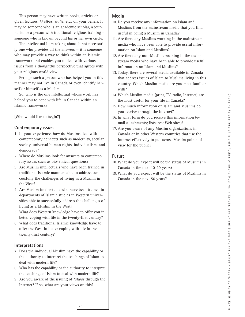C h a n g i n g P e r c e p t i o n s o f I s l a m i c A u t h o r i t y a m o n g M u s l i m s i n C a n a d a , t h e U n i t e d S t a t e s a n d t h e U n i t e d K in g d o m , b y K a r i m H . K a r i m

This person may have written books, articles or given lectures, *khutbas, wa'iz*, etc., on your beliefs. It may be someone who is an academic scholar, a journalist, or a person with traditional religious training – someone who is known beyond his or her own circle.

The intellectual I am asking about is not necessarily one who provides all the answers — it is someone who may provide a way to think within an Islamic framework and enables you to deal with various issues from a thoughtful perspective that agrees with your religious world view.

Perhaps such a person who has helped you in this manner may not live in Canada or even identify herself or himself as a Muslim.

So, who is the one intellectual whose work has helped you to cope with life in Canada within an Islamic framework?

[Who would like to begin?]

#### **Contemporary issues**

- 1. In your experience, how do Muslims deal with contemporary concepts such as modernity, secular society, universal human rights, individualism, and democracy?
- 2. Where do Muslims look for answers to contemporary issues such as bio-ethical questions?
- 3. Are Muslim intellectuals who have been trained in traditional Islamic manners able to address successfully the challenges of living as a Muslim in the West?
- 4. Are Muslim intellectuals who have been trained in departments of Islamic studies in Western universities able to successfully address the challenges of living as a Muslim in the West?
- 5. What does Western knowledge have to offer you in better coping with life in the twenty-first century?
- 6. What does traditional Islamic knowledge have to offer the West in better coping with life in the twenty-first century?

#### **Interpretations**

- 7. Does the individual Muslim have the capability or the authority to interpret the teachings of Islam to deal with modern life?
- 8. Who has the capability or the authority to interpret the teachings of Islam to deal with modern life?
- 9. Are you aware of the issuing of *fatwas* through the Internet? If so, what are your views on this?

**25**

#### **Media**

- 10. Do you receive any information on Islam and Muslims from the mainstream media that you find useful in being a Muslim in Canada?
- 11. Are there any Muslims working in the mainstream media who have been able to provide useful information on Islam and Muslims?
- 12. Are there any non-Muslims working in the mainstream media who have been able to provide useful information on Islam and Muslims?
- 13. Today, there are several media available in Canada that address issues of Islam to Muslims living in this country. Which Muslim media are you most familiar with?
- 14. Which Muslim media (print, TV, radio, Internet) are the most useful for your life in Canada?
- 15. How much information on Islam and Muslims do you receive through the Internet?
- 16. In what form do you receive this information (email attachments; listservs; Web sites)?
- 17. Are you aware of any Muslim organizations in Canada or in other Western countries that use the Internet effectively to put across Muslim points of view for the public?

#### **Future**

- 18. What do you expect will be the status of Muslims in Canada in the next 10-20 years?
- 19. What do you expect will be the status of Muslims in Canada in the next 50 years?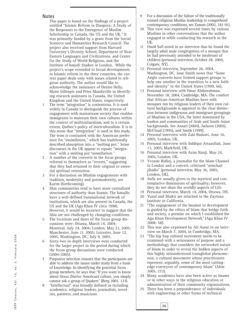#### **Notes**

This paper is based on the findings of a project entitled "Islamic Reform in Diaspora: A Study of the Responses to the Emergence of Muslim Scholarship in Canada, the US and the UK." It was primarily funded by a grant from the Social Sciences and Humanities Research Council. The project also received support from Harvard University's Divinity School, Department of Near Eastern Languages and Civilizations, and Center for the Study of World Religions, and the Institute of Ismaili Studies in London. While the project's scope extended to broad developments in Islamic reform in the three countries, the current paper deals only with issues related to religious authority. The author would like to acknowledge the assistance of Denise Helly, Marie Gillespie and Peter Mandaville in identifying research assistants in Canada, the United Kingdom and the United States, respectively.

- The term "integration" is contentious. It is used widely in Canada to distinguish the process of engagement with mainstream society that enables immigrants to maintain their own cultures within the context of multiculturalism, and to a certain extent, Québec's policy of interculturalism. It is in this sense that "integration" is used in this study. The term is contrasted with the American preference for "assimilation," which has traditionally described absorption into a "melting pot." Some discourses in the UK appear to equate "integration" with a melting pot "assmiliation."
- 2 A number of the converts in the focus groups referred to themselves as "reverts," suggesting that they had returned to their original or essential spiritual orientation.
- 3 For a discussion on Muslim engagements with tradition, modernity and postmodernity, see Karim (forthcoming).
- 4 Shia communities tend to have more centralized structures of authority than Sunnis. The Ismailis have a well-defined transnational network of institutions, which are also present in Canada, the US and the UK (Aga Khan IV circa 1998). However, it would be incorrect to suggest that the Shia are not challenged by changing conditions.
- 5 The locations and dates of the focus group discussions were: Ottawa, March 14, 2004; Montreal, July 24, 2004; London, May 21, 2005; Manchester, June 11, 2005; Leicester, June 12, 2005; Washington, DC, July 9, 2005.
- 6 Sixty-two in-depth interviews were conducted for the larger project in the period during which the focus group discussions were conducted (2004-2005).
- 7 Purposive selection ensures that the participants are able to address the issues under study from a basis of knowledge. In identifying the potential focus group members, he says that "If you want to know about Sioux (Native American) culture, you simply cannot ask a group of Quakers" (Berg 2001, 123).
- 8 "Intellectual" was broadly defined as including academics, religious leaders, journalists, novelists, painters, and musicians.
- 9 For a discussion of the failure of the traditionally trained religious Muslim leadership to comprehend contemporary conditions, see Zaman (2002, 181-91).
- 10 This view was expressed several times by various Muslims in other conversations that the author engaged in while conducting his research in the UK.
- 11 Omid Safi noted in an interview that he found the largely adult male congregation of a mosque that he had previously attended to be intolerant of children (personal interview, October 28, 2004, Colgate, NY).
- 12 Personal interview, September 26, 2004, Washington, DC. Jane Smith notes that "Some Anglo converts have formed support groups to help one another in the transition to a new faith and identity" in the United States (1999, 66).
- 13 Personal interview with Omar Abdurrahman, November 18, 2004, Cambridge, MA. The comfort that African-American Muslims have with mosques run by religious leaders of their own cultural backgrounds is apparent in the clear distinction between indigenous and immigrant groupings of Muslims in the USA, the latter dominated by leaders and communities of Arab and South Asian backgrounds. See Ansari (2004), Jackson (2005), McCloud (1995), and Smith (1999).
- 14 Personal interview with Zaki Badawi, June 16, 2005, London, UK.
- 15 Personal interview with Siddiqui Attaaullah, June 13, 2005, Markfield, UK.
- 16 Personal interview with Azim Nanji, May 24, 2005, London, UK.
- 17 Yvonne Ridley, a journalist for the Islam Channel in London and a convert, criticized "armchair jihadis" (personal interview, May 26, 2005, London, UK).
- 18 Sufis are usually given to the mystical and contemplative dimensions of spirituality; however, they do not shun the worldly aspects of Life.
- 19 Personal interview, March 14, 2004, Ottawa, ON.
- 20 Yusuf and Shakir are attached to the Zaytuna Institute in California.
- 21 "The engagement of the Imamat in development is guided by the ethics of Islam that bridge faith and society, a premise on which I established the Aga Khan Development Network" (Aga Khan IV 2008: 58).
- 22 This was also expressed by Ali Asani in an interview on March 7, 2004, in Cambridge, MA.
- 23 "The hip hop cultural movement needs to be examined with a seriousness of purpose and a methodology that considers the networked nature of Islam in order to reveal the hidden aspects of this highly misunderstood transglobal phenomenon, a cultural movement whose practitioners represent, arguably, some of the most cuttingedge conveyors of contemporary Islam" (Alim 2005, 272).
- Many academics have also been active as imams or in other ways in the religious education or administration of their community organizations.
- 25 There has been a preponderance of individuals with engineering or other forms of technical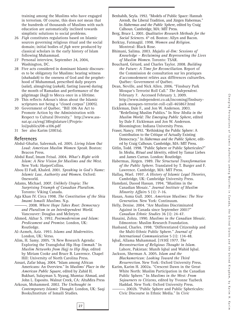training among the Muslims who have engaged in terrorism. Of course, this does not mean that the hundreds of thousands of Muslims with such education are automatically inclined towards simplistic solutions to social problems.

- 26 *Fiqh* constitutes regulations based on Islamic sources governing religious ritual and the social domain; initial bodies of *fiqh* were produced by classical scholars in the early history of Islam following Muhammad.
- 27 Personal interview, September 24, 2004, Washington, DC.
- 28 Five acts considered in dominant Islamic discourses to be obligatory for Muslims: bearing witness (*shahadah*) to the oneness of God and the prophethood of Muhammad, prescribed daily prayers (*salat*), almsgiving (*zakah*), fasting (*sawm*) during the month of Ramadan and performance of the pilgrimage (*hajj*) to Mecca once in a lifetime.
- 29 This reflects Arkoun's ideas about the Islamic scriptures not being a "closed corpus" (2005).
- 30 Government of Québec. "Bill 106 An Act to Promote Action by the Administration with Respect to Cultural Diversity." http://www.assnat.qc.ca/eng/38legislature1/Projetsloi/publics/08-a106.pdf
- 31 See also Karim (2003a).

#### **References**

- Abdul-Ghafur, Saleemah, ed. 2005. *Living Islam Out Loud: American Muslim Women Speak*. Boston: Beacon Press.
- Abdul Rauf, Imam Feisal. 2004. *What's Right with Islam: A New Vision for Muslims and the West*. New York: HarperCollins.
- Abou El Fadl, Khaled. 2001. *Speaking in God's Name: Islamic Law, Authority and Women*. Oxford: Oneworld.
- Adams, Michael. 2007. *Unlikely Utopia: The Surprising Triumph of Canadian Pluralism*. Toronto: Viking Canada.
- Aga Khan IV. Circa 1998. *The Constitution of the Shia Imami Ismaili Muslims*. N.p.
- --. 2008. Where Hope Takes Root: Democracy *and Pluralism in an Interdependent World*. Vancouver: Douglas and McIntyre.
- Ahmed, Akbar S. 1992. *Postmodernism and Islam: Predicament and Promise*. London, UK: Routledge.
- Al-Azmeh, Aziz. 1993. *Islams and Modernities*. London, UK: Verso.
- Alim, H. Samy. 2005. "A New Research Agenda: Exploring the Transglobal Hip Hop *Ummah*." In *Muslim Networks from Hajj to Hip Hop*, edited by Miriam Cooke and Bruce B. Lawrence. Chapel Hill: University of North Carolina Press.
- Ansari, Zafar Ishaq. 2004. "Islam among African Americans: An Overview." In *Muslims' Place in the American Public Square*, edited by Zahid H. Bukhari, Sulayman S. Nyang, Mumtaz Ahmad, and John L. Esposito. Walnut Creek, CA: AltaMira Press
- Arkoun, Mohammed. 2002. *The Unthought in Contemporary Islamic Thought*. London, UK: Saqi Books/Institute of Ismaili Studies.

- Benhabib, Seyla. 1992. "Models of Public Space: Hannah Arendt, the Liberal Tradition, and Jürgen Habermas." In *Habermas and the Public Sphere*, edited by Craig Calhoun. Cambridge, MA: MIT Press.
- Berg, Bruce L. 2001. *Qualitative Research Methods for the* Social Sciences. 4<sup>th</sup> ed. Boston: Allyn and Bacon.
- Berktay, Fatmagül. 1998. *Women and Religion*. Montreal: Black Rose.
- Bhimani, Salima. 2003. *Majalis al-Ilm: Sessions of Knowledge – Reclaiming and Representing the Lives of Muslim Women*. Toronto: TSAR.
- Bouchard, Gérard, and Charles Taylor. 2008. *Building the Future: A Time for Reconciliation*. Report of the Commission de consultation sur les pratiques d'accomodement reliées aux différences culturelles. Québec: Government of Québec.
- Dean, Neville, and Nick Allen. 2006. "Finsbury Park Mosque's Terrorist Roll Call." *The Independent*. February 7. Accessed February 3, 2009. http://www.independent.co.uk/incoming/finsburypark-mosques-terrorist-roll-call-465867.html
- Eickleman, Dale F., and Jon W. Anderson. 2003. "Redefining Muslim Publics." In *New Media in the Muslim World: The Emerging Public Sphere*, edited by Dale F. Eickleman and Jon W. Anderson. Bloomington: Indiana University Press.
- Fraser, Nancy. 1992. "Rethinking the Public Sphere: A Contribution to the Critique of Actually Existing Democracy." In *Habermas and the Public Sphere*, edited by Craig Calhoun. Cambridge, MA: MIT Press.
- Gitlin, Todd. 1998. "Public Sphere or Public Sphericules?" In *Media, Ritual and Identity*, edited by Tamar Liebes and James Curran. London: Routledge.
- Habermas, Jürgen. 1989. *The Structural Transformation of the Public Sphere*. Translated by T. Burger and F. Lawrence. Cambridge, MA: MIT Press.
- Hallaq, Wael. 1997. *A History of Islamic Legal Theories.* Cambridge, UK: Cambridge University Press.
- Hamdani, Daood Hassan. 1994. "Muslims in the Canadian Mosaic." *Journal Institute of Muslim Minority Affairs* 5 (1): 7-16.
- Hasan, Asma Gull. 2001. *American Muslims: The New Generation*. New York: Continuum.
- Helly, Denise. 2004. "Are Muslims Discriminated Against in Canada since September 2001?" *Canadian Ethnic Studies* 36 (1): 24-47.
- Husaini, Zohra. 1990. *Muslims in the Canadian Mosaic*. Edmonton: Muslim Research Foundation.
- Husband, Charles. 1998. "Differentiated Citizenship and the Multi-Ethnic Public Sphere." *Journal of International Communication* 5 (1): 134-48.
- Iqbal, Allama Muhammad. [1930] 1977. *The Reconstruction of Religious Thought in Islam*. Lahore, Pakistan: Munib Iqbal and Wahid Iqbal.
- Jackson, Sherman A. 2005. *Islam and the Blackamerican: Looking Toward the Third Resurrection*. New York: Oxford University Press.
- Karim, Karim H. 2002a. "Crescent Dawn in the Great White North: Muslim Participation in the Canadian Public Sphere." In *Muslims in the West: From Sojourners to Citizens,* edited by Yvonne Yazbeck Haddad. New York: Oxford University Press.
	- -. 2002b. "Public Sphere and Public Sphericules: Civic Discourse in Ethnic Media." In *Civic*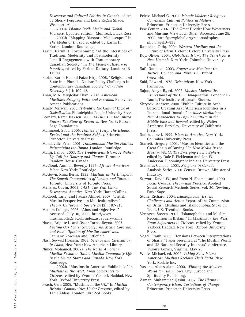*Discourse and Cultural Politics in Canada*, edited by Sherry Ferguson and Leslie Regan Shade. Westport: Ablex.

 $-$ . 2003a. *Islamic Peril: Media and Global Violence*. Updated edition. Montreal: Black Rose. --. 2003b. "Mapping Diasporic Mediascapes." In *The Media of Diaspora,* edited by Karim H. Karim. London: Routledge.

Karim, Karim H. Forthcoming. "At the Interstices of Tradition, Modernity and Postmodernity: Ismaili Engagements with Contemporary Canadian Society." In *The Modern History of Ismailis*, edited by Farhad Daftary. London: IB Tauris.

Karim, Karim H., and Faiza Hirji. 2008. "Religion and State in a Pluralist Nation: Policy Challenges in Contemporary Canadian Society." *Canadian Diversity* 6 (1): 109-12.

Khan, M.A. Muqtedar Khan. 2002. *American Muslims: Bridging Faith and Freedom*. Beltsville: Amana Publications.

Kraidy, Marwan. 2005. *Hybridity: The Cultural Logic of Globalization*. Philadelphia: Temple University Press.

Leonard, Karen Isaksen. 2003. *Muslims in the United States: The State of Research*. New York: Russell Sage Foundation.

Mahmood, Saba. 2005. *Politics of Piety: The Islamic Revival and the Feminist Subject*. Princeton: Princeton University Press

Mandaville, Peter. 2001. *Transnational Muslim Politics: Reimagining the Umma*. London: Routledge.

Manji, Irshad. 2003. *The Trouble with Islam: A Wake-Up Call for Honesty and Change*. Toronto: Random House Canada.

McCloud, Aminah Beverly. 1995. *African American Islam*. New York: Routledge.

McGown, Rima Berns. 1999. *Muslims in the Diaspora: The Somali Communities of London and Toronto*. Toronto: University of Toronto Press.

Menzies, Gavin. 2003. *1421: The Year China Discovered America*. New York: HarperCollins.

Modood, Tariq, and Fauzia Ahmed. 2007. "British Muslim Perspectives on Multiculturalism." *Theory, Culture and Society* 24 (2): 187-213.

Muslim College. 2005. "Aims and Objectives." Accessed: July 30, 2008. http://www. muslimcollege.ac.uk/index.asp?query=aims

Nacos, Brigitte L. and Oscar Torres-Reyna. 2007. *Fueling Our Fears: Stereotyping, Media Coverage, and Pubic Opinion of Muslim Americans*. Lanham: Rowman and Littlefield.

Nasr, Seyyed Hossein. 1968. *Science and Civilization in Islam*. New York: New American Library.

Nimer, Mohamed. 2002a. *The North American Muslim Resource Guide: Muslim Community Life in the United States and Canada*. New York: Routledge.

--. 2002b. "Muslims in American Public Life." In *Muslims in the West: From Sojourners to Citizens,* edited by Yvonne Yazbeck Haddad. New York: Oxford University Press.

Peach, Ceri. 2005. "Muslims in the UK." In *Muslim Britain: Communities Under Pressure*, edited by Tahir Abbas. London, UK: Zed Books.

Peletz, Michael G. 2002. *Islamic Modern: Religious Courts and Cultural Politics in Malaysia*. Princeton: Princeton University Press.

Pew Center. 2007. "The Great Divide: How Westerners and Muslims View Each Other."Accessed June 25, 2008. http://pewglobal.org/reports/display. php?PageID=833

Ramadan, Tariq. 2004. *Western Muslims and the Future of Islam*. Oxford: Oxford University Press.

Roy, Olivier. 2004. *Globalized Islam: The Search for a New Ummah*. New York: Columbia University Press.

Safi, Omid, ed. 2003. *Progressive Muslims: On Justice, Gender, and Pluralism*. Oxford: Oneworld.

Said, Edward. 1978. *Orientalism*. New York: Pantheon.

Sajoo, Amyn B., ed. 2008. *Muslim Modernities: Expressions of the Civil Imagination*. London: IB Tauris/The Institute of Ismaili Studies.

Shryock, Andrew. 2000. "Public Culture in Arab Detroit: Creating Arab/American Identities in a Transnational Domain." In *Mass Mediations: New Approaches to Popular Culture in the Middle East and Beyond*, edited by Walter Armbrust. Berkeley: University of California Press.

Smith, Jane I. 1999. *Islam in America*. New York: Columbia University Press.

Starrett, Gregory. 2003. "Muslim Identities and the Great Chain of Buying." In *New Media in the Muslim World: The Emerging Public Sphere*, edited by Dale F. Eickleman and Jon W. Anderson. Bloomington: Indiana University Press.

Statistics Canada. 2003. *Religions in Canada*. Analysis Series, 2001 Census. Ottawa: Minister of Industry.

Stewart, David W., and Prem N. Shamdasani. 1990. *Focus Groups: Theory and Practice*. Applied Social Research Methods Series, vol. 20. Newbury Park: Sage.

Stone, Richard. 2004. *Islamophobia: Issues, Challenges and Action* Report of the Commission on British Muslims and Islamophobia. Stoke on Trent, UK: Trentham Books.

Vertovec, Steven. 2002. "Islamophobia and Muslim Recognition in Britain." In *Muslims in the West: From Sojourners to Citizens,* edited by Yvonne Yazbeck Haddad. New York: Oxford University Press.

Vogel, Frank. 2008. "Tensions Between Interpretations of Sharia." Paper presented at "The Muslim World and US National Security Interests" conference, Tyson's Corner, Virginia, May 23.

Wolfe, Michael, ed. 2002. *Taking Back Islam: American Muslims Reclaim Their Faith*. New York: Rodale Inc.

Yassine, Abdessalam. 2000. *Winning the Modern World for Islam*. Iowa City: Justice and Spirituality Publishing.

Zaman, Muhammad Qasim. 2002. *The Ulama in Contemporary Islam: Custodians of Change*. Princeton: Princeton University Press.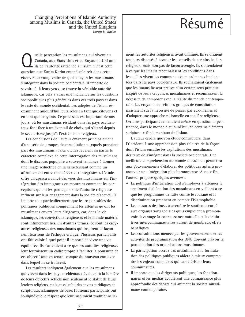Changing Perceptions of Islamic Authority<br>
nong Muslims in Canada, the United States<br>
and the United Kingdom among Muslims in Canada, the United States and the United Kingdom Karim H. Karim

Quelle perception les musulmans qui vivent au<br>Canada, aux États-Unis et au Royaume-Uni on<br>ils de l'autorité rattachée à l'islam ? C'est cette Canada, aux États-Unis et au Royaume-Uni ontils de l'autorité rattachée à l'islam ? C'est cette question que Karim Karim entend éclaircir dans cette étude. Pour comprendre de quelle façon les musulmans s'intègrent dans la société occidentale, il importe de savoir où, à leurs yeux, se trouve la véritable autorité islamique, car cela a aussi une incidence sur les questions sociopolitiques plus générales dans ces trois pays et dans le reste du monde occidental. Les adeptes de l'islam réexaminent aujourd'hui leurs rôles en tant que citoyens et en tant que croyants. Ce processus est important de nos jours, où les musulmans résidant dans les pays occidentaux font face à un éventail de choix qui s'étend depuis le sécularisme jusqu'à l'extrémisme religieux.

Les conclusions de l'auteur émanent principalement d'une série de groupes de consultation auxquels prenaient part des musulmans « laïcs ». Elles révèlent en partie le caractère complexe de cette interrogation des musulmans, dont le discours populaire a souvent tendance à donner une image réductrice en la caractérisant comme un affrontement entre « modérés » et « intégristes ». L'étude offre un aperçu nuancé des vues des musulmans sur l'intégration des immigrants en montrant comment les perceptions qu'ont les participants de l'autorité religieuse influent sur leur engagement dans la société d'accueil. Il importe tout particulièrement que les responsables des politiques publiques comprennent les attentes qu'ont les musulmans envers leurs dirigeants, car, dans la vie islamique, les convictions religieuses et le monde matériel sont intimement liés. En d'autres termes, ce sont les croyances religieuses des musulmans qui inspirent et façonnent leur sens de l'éthique civique. Plusieurs participants ont fait valoir à quel point il importe de vivre une vie équilibrée. Ils s'attendent à ce que les autorités religieuses leur fournissent un cadre propre à faciliter la poursuite de cet objectif tout en tenant compte du nouveau contexte dans lequel ils se trouvent.

Les résultats indiquent également que les musulmans qui vivent dans les pays occidentaux évaluent à la lumière de leurs objectifs actuels non seulement le statut de leurs leaders religieux mais aussi celui des textes juridiques et scripturaux islamiques de base. Plusieurs participants ont souligné que le respect que leur inspiraient traditionnelle-

ment les autorités religieuses avait diminué. Ils se disaient toujours disposés à écouter les conseils de certains leaders religieux, mais non pas de façon aveugle. Ils s'attendaient à ce que les imams reconnaissent les conditions dans lesquelles vivent les communautés musulmanes implantées dans les pays occidentaux. Ils souhaitaient également que les imams fassent preuve d'un certain sens pratique inspiré de leurs croyances musulmanes et reconnaissent la nécessité de composer avec la réalité du monde contemporain. Les croyants au sein des groupes de consultation insistaient sur la nécessité de penser par eux-mêmes et d'adopter une approche rationnelle en matière religieuse. Certains participants remettaient même en question la pertinence, dans le monde d'aujourd'hui, de certains éléments scripturaux fondamentaux de l'islam.

L'auteur espère que son étude contribuera, dans l'Occident, à une appréhension plus éclairée de la façon dont l'islam encadre les aspirations des musulmans désireux de s'intégrer dans la société occidentale. Une meilleure compréhension du monde musulman permettra aux gouvernements d'élaborer des politiques aptes à promouvoir une intégration plus harmonieuse. À cette fin, l'auteur propose quelques avenues :

- La politique d'intégration doit s'employer à atténuer le sentiment d'aliénation des musulmans en veillant à ce que les programmes de lutte contre le racisme et la discrimination prennent en compte l'islamophobie.
- Les mesures destinées à accroître le soutien accordé aux organisations sociales qui s'emploient à promouvoir davantage la connaissance mutuelle et les initiatives intercommunautaires auront de nombreux effets bénéfiques.
- Les consultations menées par les gouvernements et les activités de programmation des ONG doivent prévoir la participation des organisations musulmanes.
- La participation accrue des musulmans à la formulation des politiques publiques aidera à mieux comprendre les enjeux complexes qui caractérisent leurs communautés.
- Il importe que les dirigeants politiques, les fonctionnaires et les médias acquièrent une connaissance plus approfondie des débats qui animent la société musulmane contemporaine.